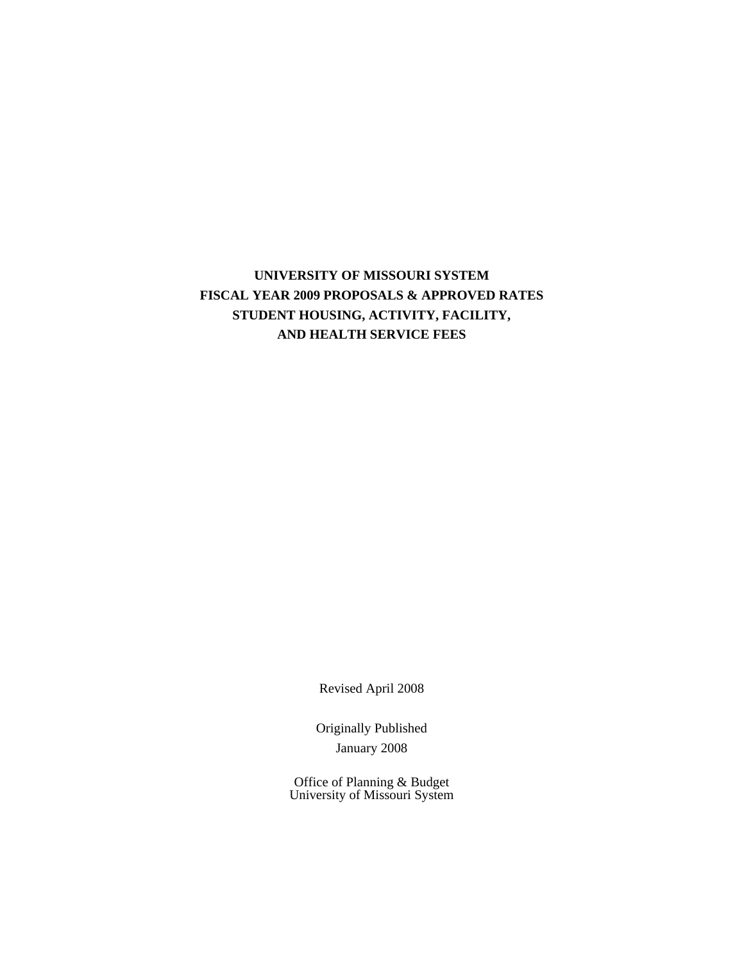# **UNIVERSITY OF MISSOURI SYSTEM FISCAL YEAR 2009 PROPOSALS & APPROVED RATES STUDENT HOUSING, ACTIVITY, FACILITY, AND HEALTH SERVICE FEES**

Revised April 2008

Originally Published January 2008

Office of Planning & Budget University of Missouri System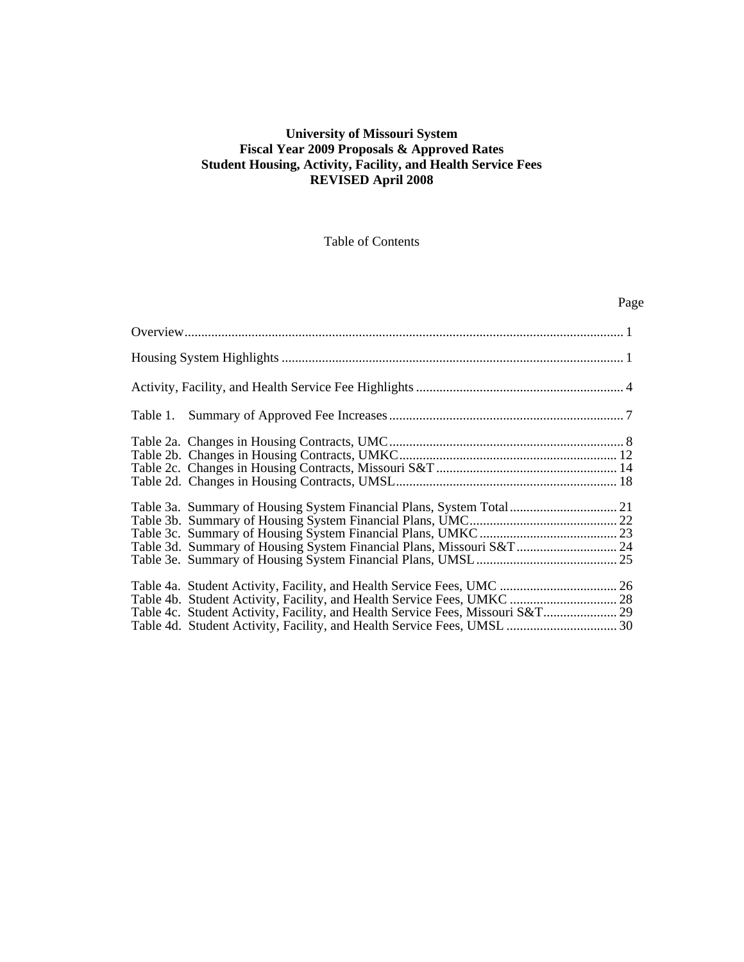### **University of Missouri System Fiscal Year 2009 Proposals & Approved Rates Student Housing, Activity, Facility, and Health Service Fees REVISED April 2008**

### Table of Contents

## Page

| Table 3a. Summary of Housing System Financial Plans, System Total 21        |  |
|-----------------------------------------------------------------------------|--|
|                                                                             |  |
| Table 3d. Summary of Housing System Financial Plans, Missouri S&T 24        |  |
| Table 4c. Student Activity, Facility, and Health Service Fees, Missouri S&T |  |
|                                                                             |  |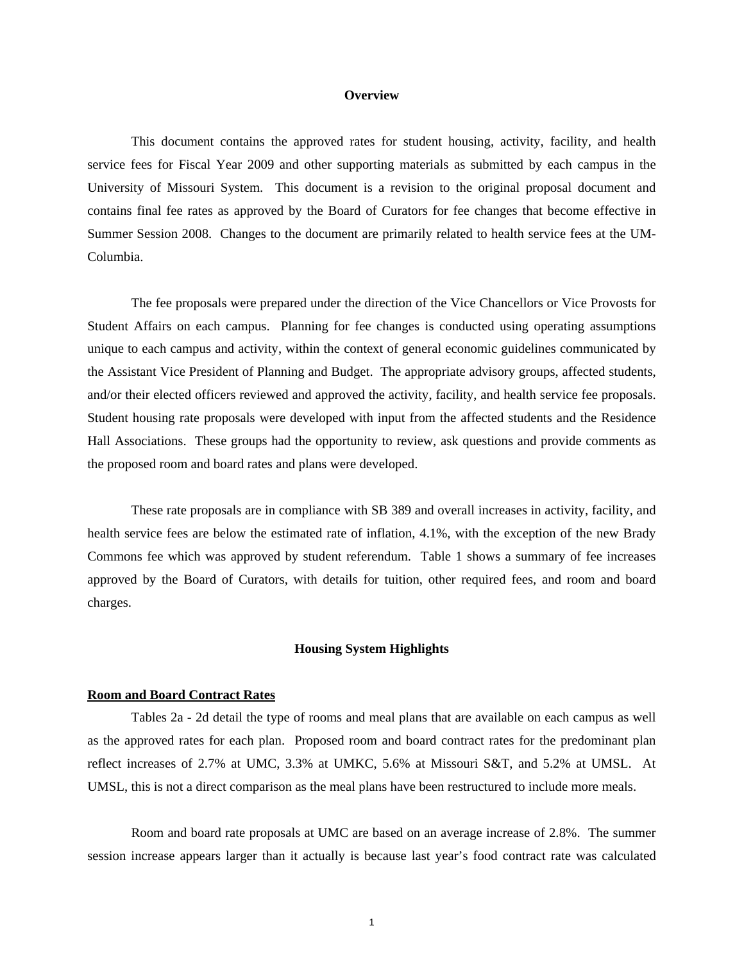#### **Overview**

This document contains the approved rates for student housing, activity, facility, and health service fees for Fiscal Year 2009 and other supporting materials as submitted by each campus in the University of Missouri System. This document is a revision to the original proposal document and contains final fee rates as approved by the Board of Curators for fee changes that become effective in Summer Session 2008. Changes to the document are primarily related to health service fees at the UM-Columbia.

The fee proposals were prepared under the direction of the Vice Chancellors or Vice Provosts for Student Affairs on each campus. Planning for fee changes is conducted using operating assumptions unique to each campus and activity, within the context of general economic guidelines communicated by the Assistant Vice President of Planning and Budget. The appropriate advisory groups, affected students, and/or their elected officers reviewed and approved the activity, facility, and health service fee proposals. Student housing rate proposals were developed with input from the affected students and the Residence Hall Associations. These groups had the opportunity to review, ask questions and provide comments as the proposed room and board rates and plans were developed.

These rate proposals are in compliance with SB 389 and overall increases in activity, facility, and health service fees are below the estimated rate of inflation, 4.1%, with the exception of the new Brady Commons fee which was approved by student referendum. Table 1 shows a summary of fee increases approved by the Board of Curators, with details for tuition, other required fees, and room and board charges.

#### **Housing System Highlights**

#### **Room and Board Contract Rates**

 Tables 2a - 2d detail the type of rooms and meal plans that are available on each campus as well as the approved rates for each plan. Proposed room and board contract rates for the predominant plan reflect increases of 2.7% at UMC, 3.3% at UMKC, 5.6% at Missouri S&T, and 5.2% at UMSL. At UMSL, this is not a direct comparison as the meal plans have been restructured to include more meals.

 Room and board rate proposals at UMC are based on an average increase of 2.8%. The summer session increase appears larger than it actually is because last year's food contract rate was calculated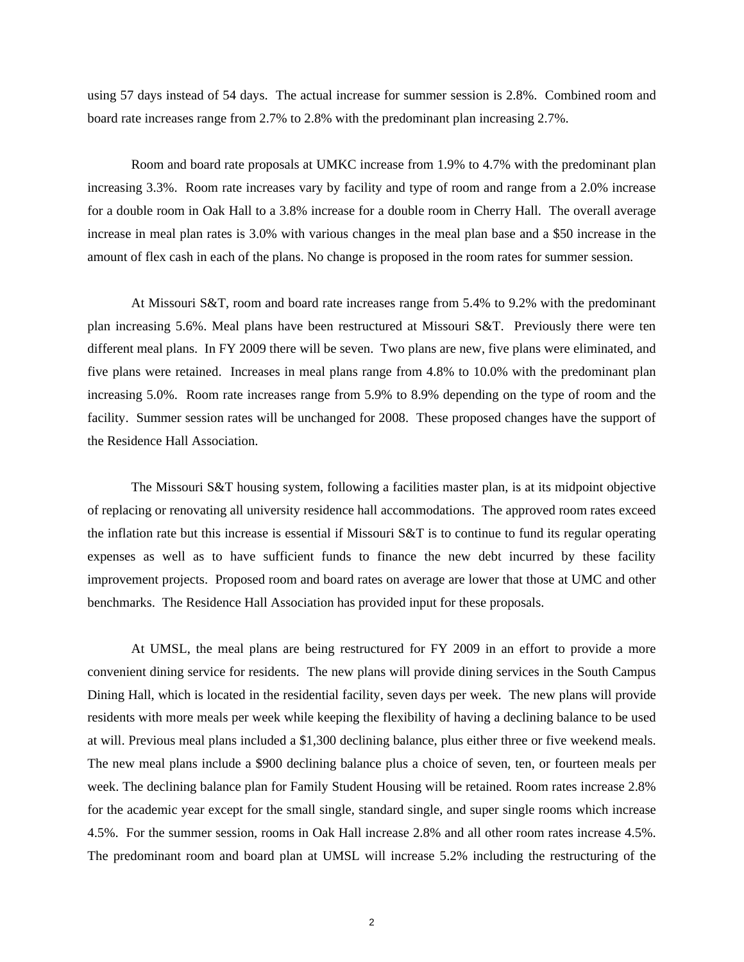using 57 days instead of 54 days. The actual increase for summer session is 2.8%. Combined room and board rate increases range from 2.7% to 2.8% with the predominant plan increasing 2.7%.

 Room and board rate proposals at UMKC increase from 1.9% to 4.7% with the predominant plan increasing 3.3%. Room rate increases vary by facility and type of room and range from a 2.0% increase for a double room in Oak Hall to a 3.8% increase for a double room in Cherry Hall. The overall average increase in meal plan rates is 3.0% with various changes in the meal plan base and a \$50 increase in the amount of flex cash in each of the plans. No change is proposed in the room rates for summer session.

 At Missouri S&T, room and board rate increases range from 5.4% to 9.2% with the predominant plan increasing 5.6%. Meal plans have been restructured at Missouri S&T. Previously there were ten different meal plans. In FY 2009 there will be seven. Two plans are new, five plans were eliminated, and five plans were retained. Increases in meal plans range from 4.8% to 10.0% with the predominant plan increasing 5.0%. Room rate increases range from 5.9% to 8.9% depending on the type of room and the facility. Summer session rates will be unchanged for 2008. These proposed changes have the support of the Residence Hall Association.

 The Missouri S&T housing system, following a facilities master plan, is at its midpoint objective of replacing or renovating all university residence hall accommodations. The approved room rates exceed the inflation rate but this increase is essential if Missouri S&T is to continue to fund its regular operating expenses as well as to have sufficient funds to finance the new debt incurred by these facility improvement projects. Proposed room and board rates on average are lower that those at UMC and other benchmarks. The Residence Hall Association has provided input for these proposals.

 At UMSL, the meal plans are being restructured for FY 2009 in an effort to provide a more convenient dining service for residents. The new plans will provide dining services in the South Campus Dining Hall, which is located in the residential facility, seven days per week. The new plans will provide residents with more meals per week while keeping the flexibility of having a declining balance to be used at will. Previous meal plans included a \$1,300 declining balance, plus either three or five weekend meals. The new meal plans include a \$900 declining balance plus a choice of seven, ten, or fourteen meals per week. The declining balance plan for Family Student Housing will be retained. Room rates increase 2.8% for the academic year except for the small single, standard single, and super single rooms which increase 4.5%. For the summer session, rooms in Oak Hall increase 2.8% and all other room rates increase 4.5%. The predominant room and board plan at UMSL will increase 5.2% including the restructuring of the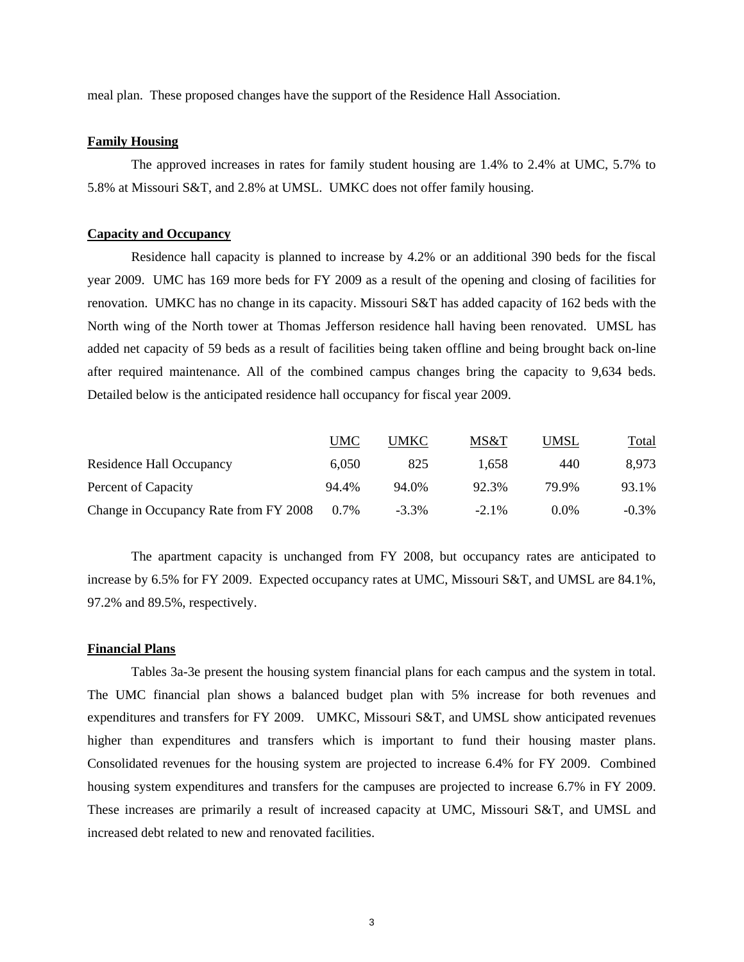meal plan. These proposed changes have the support of the Residence Hall Association.

#### **Family Housing**

The approved increases in rates for family student housing are 1.4% to 2.4% at UMC, 5.7% to 5.8% at Missouri S&T, and 2.8% at UMSL. UMKC does not offer family housing.

#### **Capacity and Occupancy**

 Residence hall capacity is planned to increase by 4.2% or an additional 390 beds for the fiscal year 2009. UMC has 169 more beds for FY 2009 as a result of the opening and closing of facilities for renovation. UMKC has no change in its capacity. Missouri S&T has added capacity of 162 beds with the North wing of the North tower at Thomas Jefferson residence hall having been renovated. UMSL has added net capacity of 59 beds as a result of facilities being taken offline and being brought back on-line after required maintenance. All of the combined campus changes bring the capacity to 9,634 beds. Detailed below is the anticipated residence hall occupancy for fiscal year 2009.

|                                       | UMC   | <b>UMKC</b> | MS&T     | UMSL    | <u>Total</u> |
|---------------------------------------|-------|-------------|----------|---------|--------------|
| Residence Hall Occupancy              | 6.050 | 825         | 1.658    | 440     | 8.973        |
| Percent of Capacity                   | 94.4% | 94.0%       | 92.3%    | 79.9%   | 93.1%        |
| Change in Occupancy Rate from FY 2008 | 0.7%  | $-3.3\%$    | $-2.1\%$ | $0.0\%$ | $-0.3\%$     |

 The apartment capacity is unchanged from FY 2008, but occupancy rates are anticipated to increase by 6.5% for FY 2009. Expected occupancy rates at UMC, Missouri S&T, and UMSL are 84.1%, 97.2% and 89.5%, respectively.

#### **Financial Plans**

 Tables 3a-3e present the housing system financial plans for each campus and the system in total. The UMC financial plan shows a balanced budget plan with 5% increase for both revenues and expenditures and transfers for FY 2009. UMKC, Missouri S&T, and UMSL show anticipated revenues higher than expenditures and transfers which is important to fund their housing master plans. Consolidated revenues for the housing system are projected to increase 6.4% for FY 2009. Combined housing system expenditures and transfers for the campuses are projected to increase 6.7% in FY 2009. These increases are primarily a result of increased capacity at UMC, Missouri S&T, and UMSL and increased debt related to new and renovated facilities.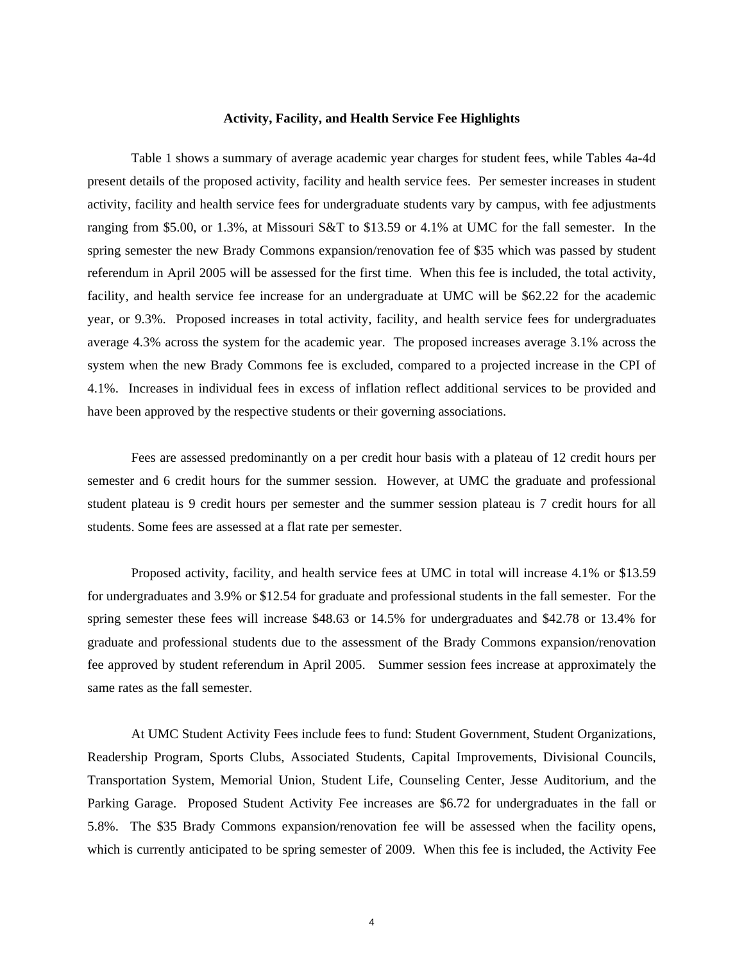#### **Activity, Facility, and Health Service Fee Highlights**

 Table 1 shows a summary of average academic year charges for student fees, while Tables 4a-4d present details of the proposed activity, facility and health service fees. Per semester increases in student activity, facility and health service fees for undergraduate students vary by campus, with fee adjustments ranging from \$5.00, or 1.3%, at Missouri S&T to \$13.59 or 4.1% at UMC for the fall semester. In the spring semester the new Brady Commons expansion/renovation fee of \$35 which was passed by student referendum in April 2005 will be assessed for the first time. When this fee is included, the total activity, facility, and health service fee increase for an undergraduate at UMC will be \$62.22 for the academic year, or 9.3%. Proposed increases in total activity, facility, and health service fees for undergraduates average 4.3% across the system for the academic year. The proposed increases average 3.1% across the system when the new Brady Commons fee is excluded, compared to a projected increase in the CPI of 4.1%. Increases in individual fees in excess of inflation reflect additional services to be provided and have been approved by the respective students or their governing associations.

 Fees are assessed predominantly on a per credit hour basis with a plateau of 12 credit hours per semester and 6 credit hours for the summer session. However, at UMC the graduate and professional student plateau is 9 credit hours per semester and the summer session plateau is 7 credit hours for all students. Some fees are assessed at a flat rate per semester.

 Proposed activity, facility, and health service fees at UMC in total will increase 4.1% or \$13.59 for undergraduates and 3.9% or \$12.54 for graduate and professional students in the fall semester. For the spring semester these fees will increase \$48.63 or 14.5% for undergraduates and \$42.78 or 13.4% for graduate and professional students due to the assessment of the Brady Commons expansion/renovation fee approved by student referendum in April 2005. Summer session fees increase at approximately the same rates as the fall semester.

At UMC Student Activity Fees include fees to fund: Student Government, Student Organizations, Readership Program, Sports Clubs, Associated Students, Capital Improvements, Divisional Councils, Transportation System, Memorial Union, Student Life, Counseling Center, Jesse Auditorium, and the Parking Garage. Proposed Student Activity Fee increases are \$6.72 for undergraduates in the fall or 5.8%. The \$35 Brady Commons expansion/renovation fee will be assessed when the facility opens, which is currently anticipated to be spring semester of 2009. When this fee is included, the Activity Fee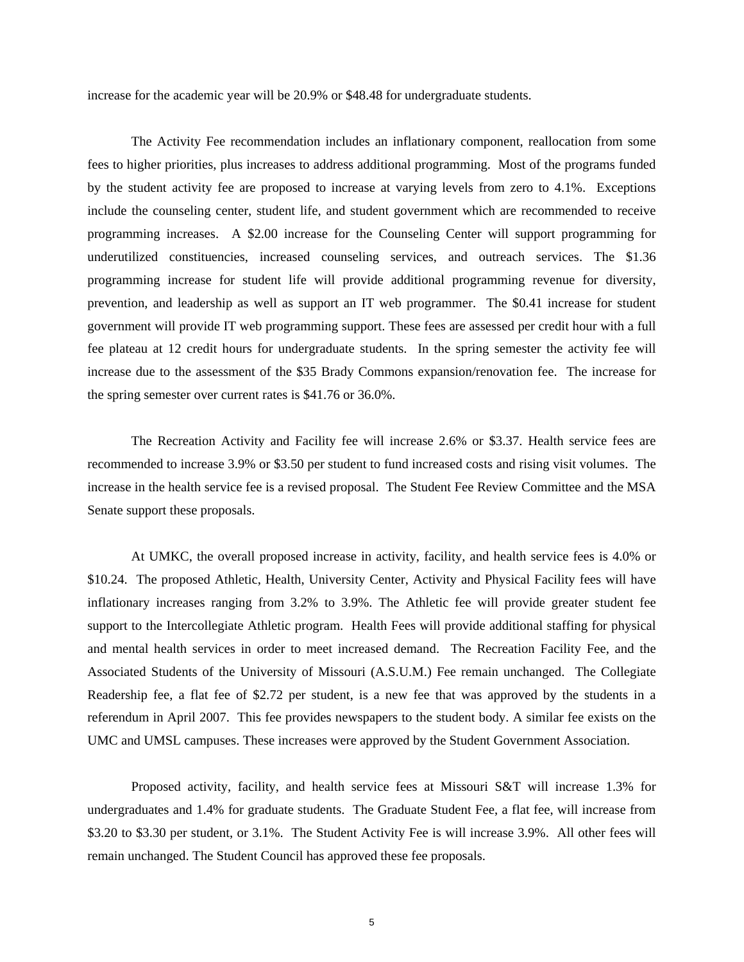increase for the academic year will be 20.9% or \$48.48 for undergraduate students.

The Activity Fee recommendation includes an inflationary component, reallocation from some fees to higher priorities, plus increases to address additional programming. Most of the programs funded by the student activity fee are proposed to increase at varying levels from zero to 4.1%. Exceptions include the counseling center, student life, and student government which are recommended to receive programming increases. A \$2.00 increase for the Counseling Center will support programming for underutilized constituencies, increased counseling services, and outreach services. The \$1.36 programming increase for student life will provide additional programming revenue for diversity, prevention, and leadership as well as support an IT web programmer. The \$0.41 increase for student government will provide IT web programming support. These fees are assessed per credit hour with a full fee plateau at 12 credit hours for undergraduate students. In the spring semester the activity fee will increase due to the assessment of the \$35 Brady Commons expansion/renovation fee. The increase for the spring semester over current rates is \$41.76 or 36.0%.

The Recreation Activity and Facility fee will increase 2.6% or \$3.37. Health service fees are recommended to increase 3.9% or \$3.50 per student to fund increased costs and rising visit volumes. The increase in the health service fee is a revised proposal. The Student Fee Review Committee and the MSA Senate support these proposals.

At UMKC, the overall proposed increase in activity, facility, and health service fees is 4.0% or \$10.24. The proposed Athletic, Health, University Center, Activity and Physical Facility fees will have inflationary increases ranging from 3.2% to 3.9%. The Athletic fee will provide greater student fee support to the Intercollegiate Athletic program. Health Fees will provide additional staffing for physical and mental health services in order to meet increased demand. The Recreation Facility Fee, and the Associated Students of the University of Missouri (A.S.U.M.) Fee remain unchanged. The Collegiate Readership fee, a flat fee of \$2.72 per student, is a new fee that was approved by the students in a referendum in April 2007. This fee provides newspapers to the student body. A similar fee exists on the UMC and UMSL campuses. These increases were approved by the Student Government Association.

Proposed activity, facility, and health service fees at Missouri S&T will increase 1.3% for undergraduates and 1.4% for graduate students. The Graduate Student Fee, a flat fee, will increase from \$3.20 to \$3.30 per student, or 3.1%. The Student Activity Fee is will increase 3.9%. All other fees will remain unchanged. The Student Council has approved these fee proposals.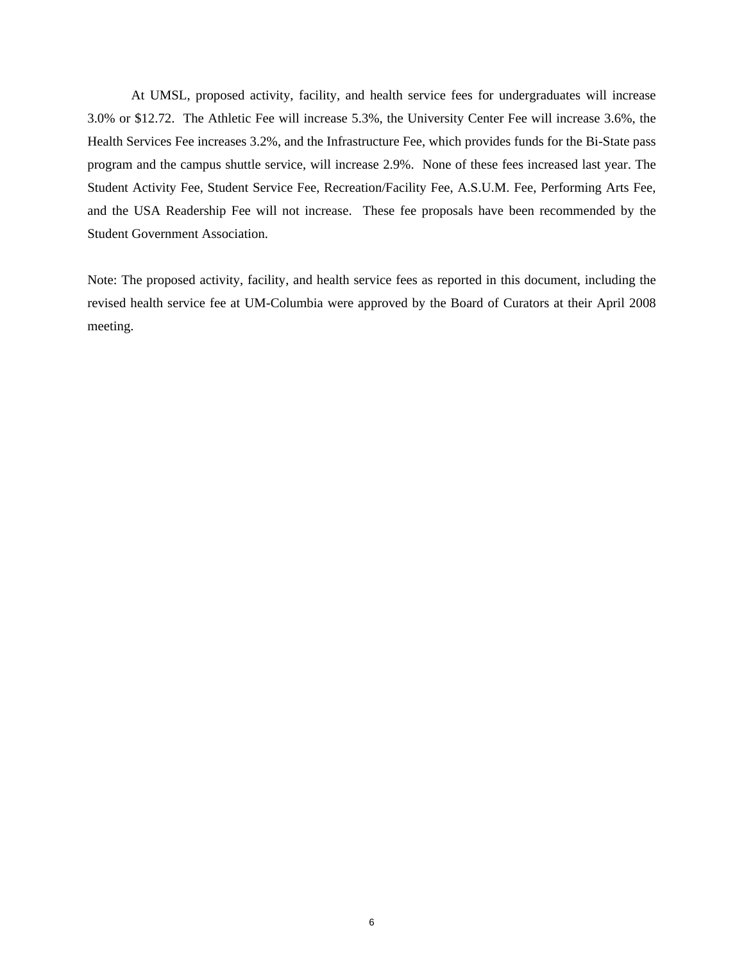At UMSL, proposed activity, facility, and health service fees for undergraduates will increase 3.0% or \$12.72. The Athletic Fee will increase 5.3%, the University Center Fee will increase 3.6%, the Health Services Fee increases 3.2%, and the Infrastructure Fee, which provides funds for the Bi-State pass program and the campus shuttle service, will increase 2.9%. None of these fees increased last year. The Student Activity Fee, Student Service Fee, Recreation/Facility Fee, A.S.U.M. Fee, Performing Arts Fee, and the USA Readership Fee will not increase. These fee proposals have been recommended by the Student Government Association.

Note: The proposed activity, facility, and health service fees as reported in this document, including the revised health service fee at UM-Columbia were approved by the Board of Curators at their April 2008 meeting.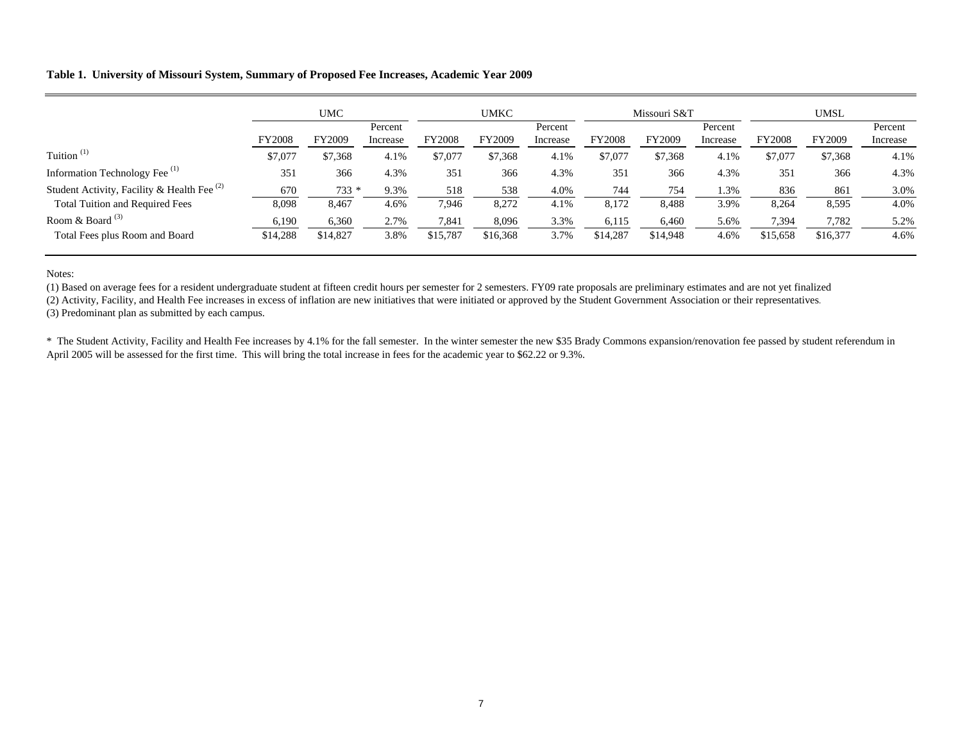#### **Table 1. University of Missouri System, Summary of Proposed Fee Increases, Academic Year 2009**

|                                               |               | <b>UMC</b> |                     | <b>UMKC</b>   |          | Missouri S&T        |               | <b>UMSL</b> |                     |               |          |                     |
|-----------------------------------------------|---------------|------------|---------------------|---------------|----------|---------------------|---------------|-------------|---------------------|---------------|----------|---------------------|
|                                               | <b>FY2008</b> | FY2009     | Percent<br>Increase | <b>FY2008</b> | FY2009   | Percent<br>Increase | <b>FY2008</b> | FY2009      | Percent<br>Increase | <b>FY2008</b> | FY2009   | Percent<br>Increase |
| Tuition $(1)$                                 | \$7,077       | \$7,368    | 4.1%                | \$7,077       | \$7,368  | 4.1%                | \$7,077       | \$7,368     | 4.1%                | \$7,077       | \$7,368  | 4.1%                |
| Information Technology Fee <sup>(1)</sup>     | 351           | 366        | 4.3%                | 351           | 366      | 4.3%                | 351           | 366         | 4.3%                | 351           | 366      | 4.3%                |
| Student Activity, Facility & Health Fee $(2)$ | 670           | $733 *$    | 9.3%                | 518           | 538      | 4.0%                | 744           | 754         | 1.3%                | 836           | 861      | 3.0%                |
| <b>Total Tuition and Required Fees</b>        | 8,098         | 8,467      | 4.6%                | 7,946         | 8,272    | 4.1%                | 8,172         | 8,488       | 3.9%                | 8,264         | 8,595    | 4.0%                |
| Room & Board $^{(3)}$                         | 6,190         | 6,360      | 2.7%                | 7,841         | 8,096    | 3.3%                | 6,115         | 6,460       | 5.6%                | 7,394         | 7,782    | 5.2%                |
| Total Fees plus Room and Board                | \$14,288      | \$14,827   | 3.8%                | \$15,787      | \$16,368 | 3.7%                | \$14,287      | \$14,948    | 4.6%                | \$15,658      | \$16,377 | 4.6%                |

Notes:

(1) Based on average fees for a resident undergraduate student at fifteen credit hours per semester for 2 semesters. FY09 rate proposals are preliminary estimates and are not yet finalized

(2) Activity, Facility, and Health Fee increases in excess of inflation are new initiatives that were initiated or approved by the Student Government Association or their representatives.

(3) Predominant plan as submitted by each campus.

\* The Student Activity, Facility and Health Fee increases by 4.1% for the fall semester. In the winter semester the new \$35 Brady Commons expansion/renovation fee passed by student referendum in April 2005 will be assessed for the first time. This will bring the total increase in fees for the academic year to \$62.22 or 9.3%.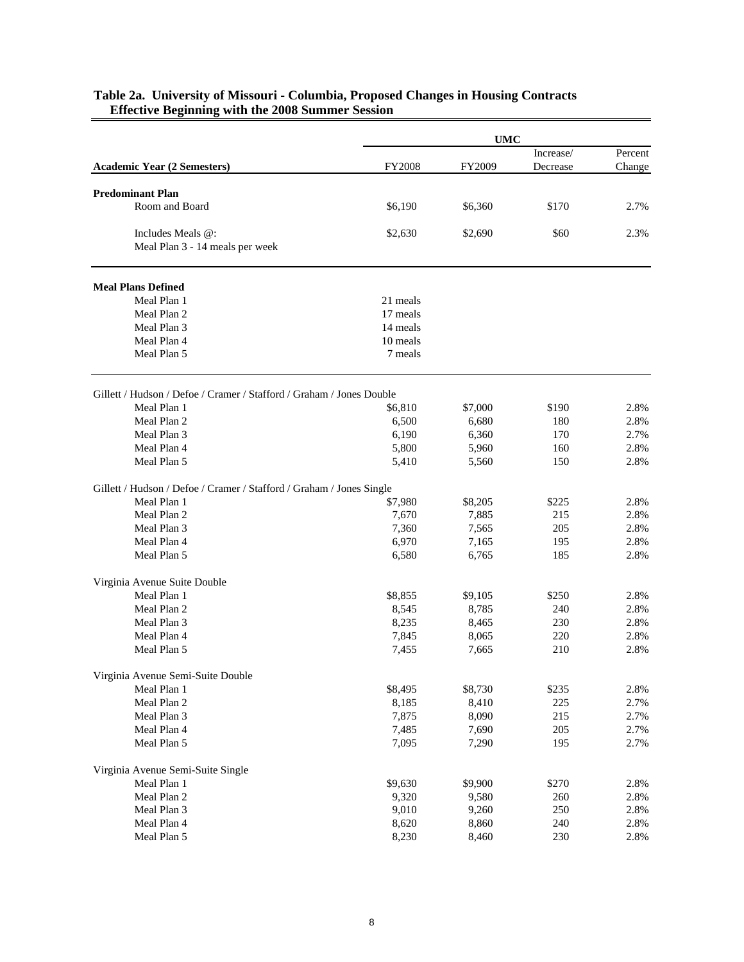|                                                                      | <b>UMC</b> |         |           |         |  |  |
|----------------------------------------------------------------------|------------|---------|-----------|---------|--|--|
|                                                                      |            |         | Increase/ | Percent |  |  |
| <b>Academic Year (2 Semesters)</b>                                   | FY2008     | FY2009  | Decrease  | Change  |  |  |
|                                                                      |            |         |           |         |  |  |
| <b>Predominant Plan</b>                                              |            |         |           |         |  |  |
| Room and Board                                                       | \$6,190    | \$6,360 | \$170     | 2.7%    |  |  |
| Includes Meals @:                                                    | \$2,630    | \$2,690 | \$60      | 2.3%    |  |  |
| Meal Plan 3 - 14 meals per week                                      |            |         |           |         |  |  |
| <b>Meal Plans Defined</b>                                            |            |         |           |         |  |  |
| Meal Plan 1                                                          | 21 meals   |         |           |         |  |  |
| Meal Plan 2                                                          | 17 meals   |         |           |         |  |  |
| Meal Plan 3                                                          | 14 meals   |         |           |         |  |  |
| Meal Plan 4                                                          | 10 meals   |         |           |         |  |  |
| Meal Plan 5                                                          | 7 meals    |         |           |         |  |  |
| Gillett / Hudson / Defoe / Cramer / Stafford / Graham / Jones Double |            |         |           |         |  |  |
| Meal Plan 1                                                          | \$6,810    | \$7,000 | \$190     | 2.8%    |  |  |
| Meal Plan 2                                                          | 6,500      | 6,680   | 180       | 2.8%    |  |  |
| Meal Plan 3                                                          | 6,190      | 6,360   | 170       | 2.7%    |  |  |
| Meal Plan 4                                                          | 5,800      | 5,960   | 160       | 2.8%    |  |  |
| Meal Plan 5                                                          | 5,410      | 5,560   | 150       | 2.8%    |  |  |
|                                                                      |            |         |           |         |  |  |
| Gillett / Hudson / Defoe / Cramer / Stafford / Graham / Jones Single |            |         |           |         |  |  |
| Meal Plan 1                                                          | \$7,980    | \$8,205 | \$225     | 2.8%    |  |  |
| Meal Plan 2                                                          | 7,670      | 7,885   | 215       | 2.8%    |  |  |
| Meal Plan 3                                                          | 7,360      | 7,565   | 205       | 2.8%    |  |  |
| Meal Plan 4                                                          | 6,970      | 7,165   | 195       | 2.8%    |  |  |
| Meal Plan 5                                                          | 6,580      | 6,765   | 185       | 2.8%    |  |  |
| Virginia Avenue Suite Double                                         |            |         |           |         |  |  |
| Meal Plan 1                                                          | \$8,855    | \$9,105 | \$250     | 2.8%    |  |  |
| Meal Plan 2                                                          | 8,545      | 8,785   | 240       | 2.8%    |  |  |
| Meal Plan 3                                                          | 8,235      | 8,465   | 230       | 2.8%    |  |  |
| Meal Plan 4                                                          | 7,845      | 8,065   | 220       | 2.8%    |  |  |
| Meal Plan 5                                                          | 7,455      | 7,665   | 210       | 2.8%    |  |  |
| Virginia Avenue Semi-Suite Double                                    |            |         |           |         |  |  |
| Meal Plan 1                                                          | \$8,495    | \$8,730 | \$235     | 2.8%    |  |  |
| Meal Plan 2                                                          | 8,185      | 8,410   | 225       | 2.7%    |  |  |
| Meal Plan 3                                                          | 7,875      | 8,090   | 215       | 2.7%    |  |  |
| Meal Plan 4                                                          | 7,485      | 7,690   | 205       | 2.7%    |  |  |
| Meal Plan 5                                                          | 7,095      | 7,290   | 195       | 2.7%    |  |  |
| Virginia Avenue Semi-Suite Single                                    |            |         |           |         |  |  |
| Meal Plan 1                                                          | \$9,630    | \$9,900 | \$270     | 2.8%    |  |  |
| Meal Plan 2                                                          | 9,320      | 9,580   | 260       | 2.8%    |  |  |
| Meal Plan 3                                                          | 9,010      | 9,260   | 250       | 2.8%    |  |  |
| Meal Plan 4                                                          | 8,620      | 8,860   | 240       | 2.8%    |  |  |
| Meal Plan 5                                                          | 8,230      | 8,460   | 230       | 2.8%    |  |  |

#### **Table 2a. University of Missouri - Columbia, Proposed Changes in Housing Contracts Effective Beginning with the 2008 Summer Session**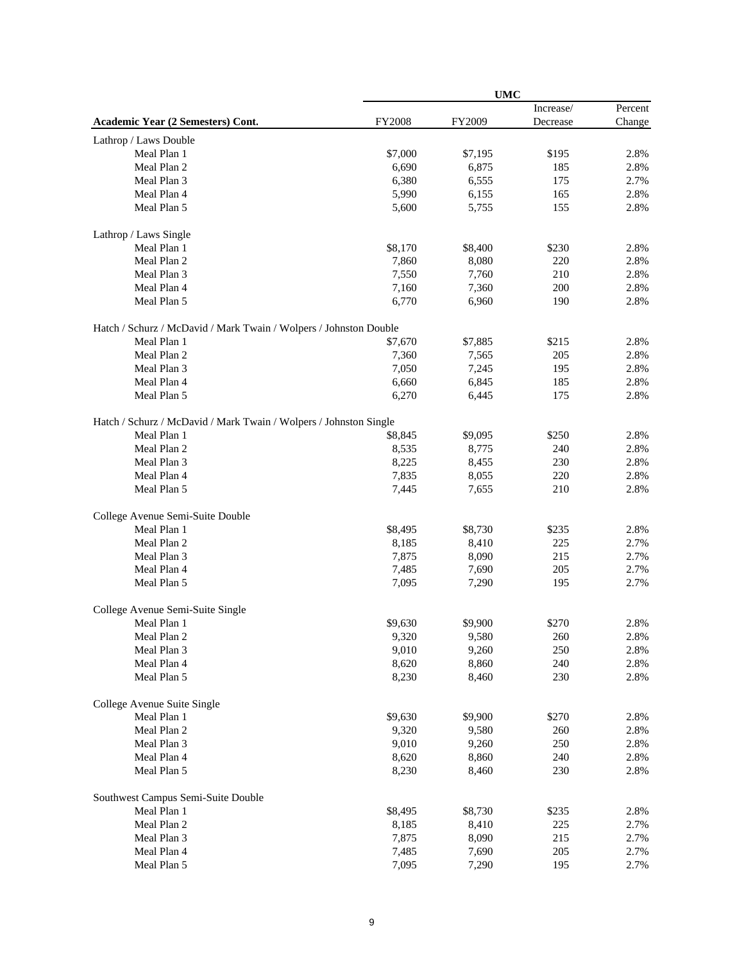|                                                                   |               | <b>UMC</b> |           |         |  |
|-------------------------------------------------------------------|---------------|------------|-----------|---------|--|
|                                                                   |               |            | Increase/ | Percent |  |
| Academic Year (2 Semesters) Cont.                                 | <b>FY2008</b> | FY2009     | Decrease  | Change  |  |
| Lathrop / Laws Double                                             |               |            |           |         |  |
| Meal Plan 1                                                       | \$7,000       | \$7,195    | \$195     | 2.8%    |  |
| Meal Plan 2                                                       | 6,690         | 6,875      | 185       | 2.8%    |  |
| Meal Plan 3                                                       | 6,380         | 6,555      | 175       | 2.7%    |  |
| Meal Plan 4                                                       | 5,990         | 6,155      | 165       | 2.8%    |  |
| Meal Plan 5                                                       | 5,600         | 5,755      | 155       | 2.8%    |  |
| Lathrop / Laws Single                                             |               |            |           |         |  |
| Meal Plan 1                                                       | \$8,170       | \$8,400    | \$230     | 2.8%    |  |
| Meal Plan 2                                                       | 7,860         | 8,080      | 220       | 2.8%    |  |
| Meal Plan 3                                                       | 7,550         | 7,760      | 210       | 2.8%    |  |
| Meal Plan 4                                                       | 7,160         | 7,360      | 200       | 2.8%    |  |
| Meal Plan 5                                                       | 6,770         | 6,960      | 190       | 2.8%    |  |
| Hatch / Schurz / McDavid / Mark Twain / Wolpers / Johnston Double |               |            |           |         |  |
| Meal Plan 1                                                       | \$7,670       | \$7,885    | \$215     | 2.8%    |  |
| Meal Plan 2                                                       | 7,360         | 7,565      | 205       | 2.8%    |  |
| Meal Plan 3                                                       | 7,050         | 7,245      | 195       | 2.8%    |  |
| Meal Plan 4                                                       | 6,660         | 6,845      | 185       | 2.8%    |  |
| Meal Plan 5                                                       | 6,270         | 6,445      | 175       | 2.8%    |  |
| Hatch / Schurz / McDavid / Mark Twain / Wolpers / Johnston Single |               |            |           |         |  |
| Meal Plan 1                                                       | \$8,845       | \$9,095    | \$250     | 2.8%    |  |
| Meal Plan 2                                                       | 8,535         | 8,775      | 240       | 2.8%    |  |
| Meal Plan 3                                                       | 8,225         | 8,455      | 230       | 2.8%    |  |
| Meal Plan 4                                                       | 7,835         | 8,055      | 220       | 2.8%    |  |
| Meal Plan 5                                                       | 7,445         | 7,655      | 210       | 2.8%    |  |
| College Avenue Semi-Suite Double                                  |               |            |           |         |  |
| Meal Plan 1                                                       | \$8,495       | \$8,730    | \$235     | 2.8%    |  |
| Meal Plan 2                                                       | 8,185         | 8,410      | 225       | 2.7%    |  |
| Meal Plan 3                                                       | 7,875         | 8,090      | 215       | 2.7%    |  |
| Meal Plan 4                                                       | 7,485         | 7,690      | 205       | 2.7%    |  |
| Meal Plan 5                                                       | 7,095         | 7,290      | 195       | 2.7%    |  |
| College Avenue Semi-Suite Single                                  |               |            |           |         |  |
| Meal Plan 1                                                       | \$9,630       | \$9,900    | \$270     | 2.8%    |  |
| Meal Plan 2                                                       | 9,320         | 9,580      | 260       | 2.8%    |  |
| Meal Plan 3                                                       | 9,010         | 9,260      | 250       | 2.8%    |  |
| Meal Plan 4                                                       | 8,620         | 8,860      | 240       | 2.8%    |  |
| Meal Plan 5                                                       | 8,230         | 8,460      | 230       | 2.8%    |  |
| College Avenue Suite Single                                       |               |            |           |         |  |
| Meal Plan 1                                                       | \$9,630       | \$9,900    | \$270     | 2.8%    |  |
| Meal Plan 2                                                       | 9,320         | 9,580      | 260       | 2.8%    |  |
| Meal Plan 3                                                       | 9,010         | 9,260      | 250       | 2.8%    |  |
| Meal Plan 4                                                       | 8,620         | 8,860      | 240       | 2.8%    |  |
| Meal Plan 5                                                       | 8,230         | 8,460      | 230       | 2.8%    |  |
| Southwest Campus Semi-Suite Double                                |               |            |           |         |  |
| Meal Plan 1                                                       | \$8,495       | \$8,730    | \$235     | 2.8%    |  |
| Meal Plan 2                                                       | 8,185         | 8,410      | 225       | 2.7%    |  |
| Meal Plan 3                                                       | 7,875         | 8,090      | 215       | 2.7%    |  |
| Meal Plan 4                                                       | 7,485         | 7,690      | 205       | 2.7%    |  |
| Meal Plan 5                                                       | 7,095         | 7,290      | 195       | 2.7%    |  |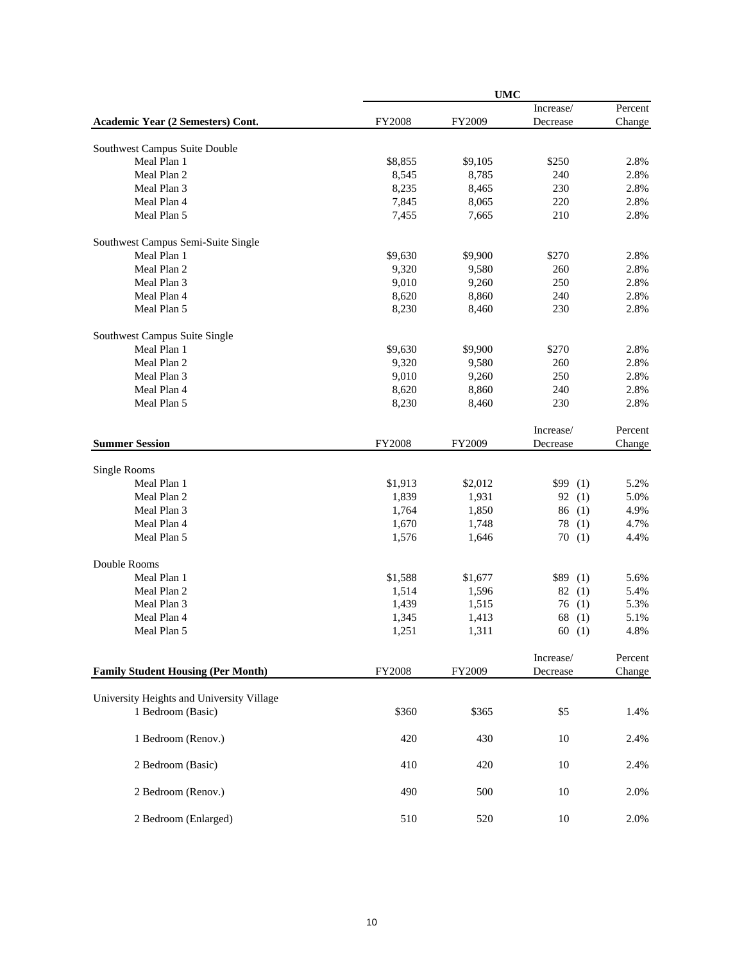|                                           | <b>UMC</b>    |         |           |         |  |  |  |
|-------------------------------------------|---------------|---------|-----------|---------|--|--|--|
|                                           |               |         | Increase/ | Percent |  |  |  |
| Academic Year (2 Semesters) Cont.         | FY2008        | FY2009  | Decrease  | Change  |  |  |  |
| Southwest Campus Suite Double             |               |         |           |         |  |  |  |
| Meal Plan 1                               | \$8,855       | \$9,105 | \$250     | 2.8%    |  |  |  |
| Meal Plan 2                               | 8,545         | 8,785   | 240       | 2.8%    |  |  |  |
| Meal Plan 3                               | 8,235         | 8,465   | 230       | 2.8%    |  |  |  |
| Meal Plan 4                               | 7,845         | 8,065   | 220       | 2.8%    |  |  |  |
| Meal Plan 5                               | 7,455         | 7,665   | 210       | 2.8%    |  |  |  |
|                                           |               |         |           |         |  |  |  |
| Southwest Campus Semi-Suite Single        |               |         |           |         |  |  |  |
| Meal Plan 1                               | \$9,630       | \$9,900 | \$270     | 2.8%    |  |  |  |
| Meal Plan 2                               | 9,320         | 9,580   | 260       | 2.8%    |  |  |  |
| Meal Plan 3                               | 9,010         | 9,260   | 250       | 2.8%    |  |  |  |
| Meal Plan 4                               | 8,620         | 8,860   | 240       | 2.8%    |  |  |  |
| Meal Plan 5                               | 8,230         | 8,460   | 230       | 2.8%    |  |  |  |
| Southwest Campus Suite Single             |               |         |           |         |  |  |  |
| Meal Plan 1                               | \$9,630       | \$9,900 | \$270     | 2.8%    |  |  |  |
| Meal Plan 2                               | 9,320         | 9,580   | 260       |         |  |  |  |
|                                           |               |         |           | 2.8%    |  |  |  |
| Meal Plan 3                               | 9,010         | 9,260   | 250       | 2.8%    |  |  |  |
| Meal Plan 4                               | 8,620         | 8,860   | 240       | 2.8%    |  |  |  |
| Meal Plan 5                               | 8,230         | 8,460   | 230       | 2.8%    |  |  |  |
|                                           |               |         | Increase/ | Percent |  |  |  |
| <b>Summer Session</b>                     | FY2008        | FY2009  | Decrease  | Change  |  |  |  |
|                                           |               |         |           |         |  |  |  |
| Single Rooms                              |               |         |           |         |  |  |  |
| Meal Plan 1                               | \$1,913       | \$2,012 | \$99(1)   | 5.2%    |  |  |  |
| Meal Plan 2                               | 1,839         | 1,931   | 92(1)     | 5.0%    |  |  |  |
| Meal Plan 3                               | 1,764         | 1,850   | 86(1)     | 4.9%    |  |  |  |
| Meal Plan 4                               | 1,670         | 1,748   | 78<br>(1) | 4.7%    |  |  |  |
| Meal Plan 5                               | 1,576         | 1,646   | 70(1)     | 4.4%    |  |  |  |
|                                           |               |         |           |         |  |  |  |
| Double Rooms                              |               |         |           |         |  |  |  |
| Meal Plan 1                               | \$1,588       | \$1,677 | \$89(1)   | 5.6%    |  |  |  |
| Meal Plan 2                               | 1,514         | 1,596   | 82(1)     | 5.4%    |  |  |  |
| Meal Plan 3                               | 1,439         | 1,515   | 76(1)     | 5.3%    |  |  |  |
| Meal Plan 4                               | 1,345         | 1,413   | 68(1)     | 5.1%    |  |  |  |
| Meal Plan 5                               | 1,251         | 1,311   | 60(1)     | 4.8%    |  |  |  |
|                                           |               |         | Increase/ | Percent |  |  |  |
| <b>Family Student Housing (Per Month)</b> | <b>FY2008</b> | FY2009  | Decrease  | Change  |  |  |  |
|                                           |               |         |           |         |  |  |  |
| University Heights and University Village |               |         |           |         |  |  |  |
| 1 Bedroom (Basic)                         | \$360         | \$365   | \$5       | 1.4%    |  |  |  |
|                                           |               |         |           |         |  |  |  |
| 1 Bedroom (Renov.)                        | 420           | 430     | 10        | 2.4%    |  |  |  |
|                                           |               |         |           |         |  |  |  |
| 2 Bedroom (Basic)                         | 410           | 420     | 10        | 2.4%    |  |  |  |
| 2 Bedroom (Renov.)                        | 490           | 500     | 10        | 2.0%    |  |  |  |
|                                           |               |         |           |         |  |  |  |
| 2 Bedroom (Enlarged)                      | 510           | 520     | $10\,$    | 2.0%    |  |  |  |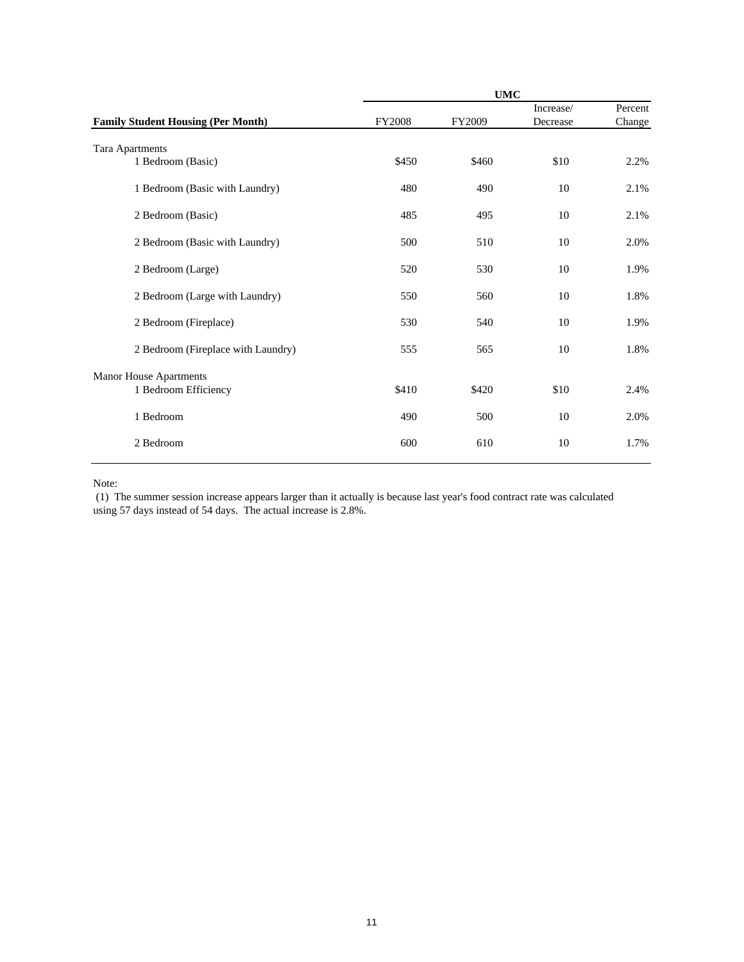| <b>UMC</b>                                |               |        |           |         |  |  |
|-------------------------------------------|---------------|--------|-----------|---------|--|--|
|                                           |               |        | Increase/ | Percent |  |  |
| <b>Family Student Housing (Per Month)</b> | <b>FY2008</b> | FY2009 | Decrease  | Change  |  |  |
| Tara Apartments                           |               |        |           |         |  |  |
| 1 Bedroom (Basic)                         | \$450         | \$460  | \$10      | 2.2%    |  |  |
| 1 Bedroom (Basic with Laundry)            | 480           | 490    | 10        | 2.1%    |  |  |
| 2 Bedroom (Basic)                         | 485           | 495    | 10        | 2.1%    |  |  |
| 2 Bedroom (Basic with Laundry)            | 500           | 510    | 10        | 2.0%    |  |  |
| 2 Bedroom (Large)                         | 520           | 530    | 10        | 1.9%    |  |  |
| 2 Bedroom (Large with Laundry)            | 550           | 560    | 10        | 1.8%    |  |  |
| 2 Bedroom (Fireplace)                     | 530           | 540    | 10        | 1.9%    |  |  |
| 2 Bedroom (Fireplace with Laundry)        | 555           | 565    | 10        | 1.8%    |  |  |
| <b>Manor House Apartments</b>             |               |        |           |         |  |  |
| 1 Bedroom Efficiency                      | \$410         | \$420  | \$10      | 2.4%    |  |  |
| 1 Bedroom                                 | 490           | 500    | 10        | 2.0%    |  |  |
| 2 Bedroom                                 | 600           | 610    | 10        | 1.7%    |  |  |

Note:

 (1) The summer session increase appears larger than it actually is because last year's food contract rate was calculated using 57 days instead of 54 days. The actual increase is 2.8%.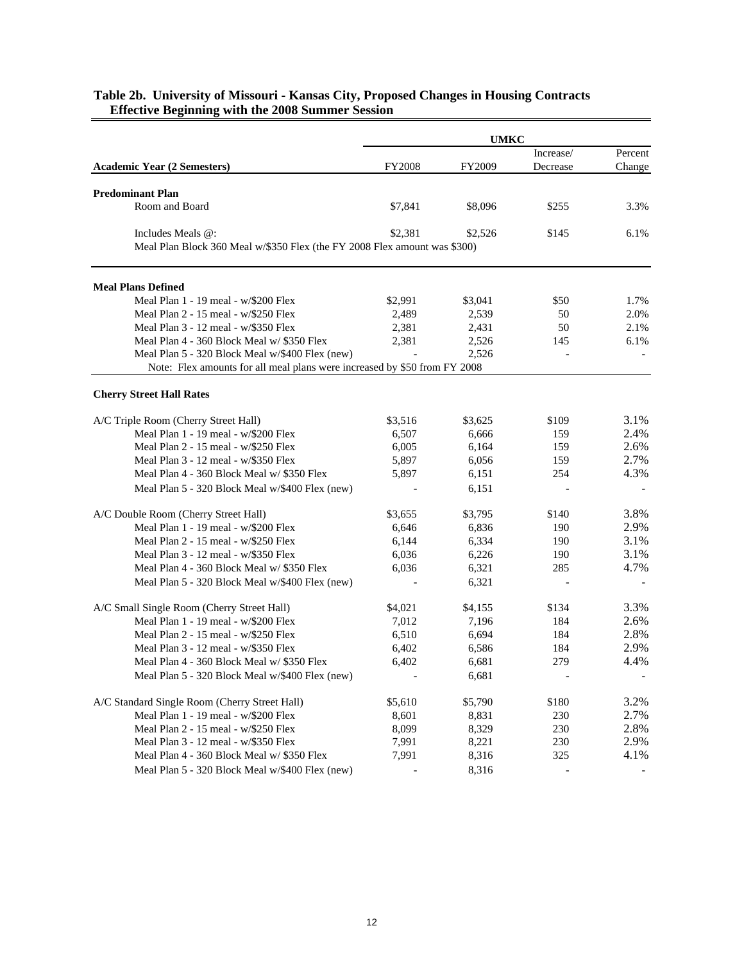|                                                                           | <b>UMKC</b> |         |           |         |  |
|---------------------------------------------------------------------------|-------------|---------|-----------|---------|--|
|                                                                           |             |         | Increase/ | Percent |  |
| <b>Academic Year (2 Semesters)</b>                                        | FY2008      | FY2009  | Decrease  | Change  |  |
| <b>Predominant Plan</b>                                                   |             |         |           |         |  |
| Room and Board                                                            | \$7,841     | \$8,096 | \$255     | 3.3%    |  |
|                                                                           |             |         |           |         |  |
| Includes Meals @:                                                         | \$2,381     | \$2,526 | \$145     | 6.1%    |  |
| Meal Plan Block 360 Meal w/\$350 Flex (the FY 2008 Flex amount was \$300) |             |         |           |         |  |
| <b>Meal Plans Defined</b>                                                 |             |         |           |         |  |
| Meal Plan 1 - 19 meal - w/\$200 Flex                                      | \$2,991     | \$3,041 | \$50      | 1.7%    |  |
| Meal Plan 2 - 15 meal - w/\$250 Flex                                      | 2,489       | 2,539   | 50        | 2.0%    |  |
| Meal Plan 3 - 12 meal - w/\$350 Flex                                      | 2,381       | 2,431   | 50        | 2.1%    |  |
| Meal Plan 4 - 360 Block Meal w/ \$350 Flex                                | 2,381       | 2,526   | 145       | 6.1%    |  |
| Meal Plan 5 - 320 Block Meal w/\$400 Flex (new)                           |             | 2,526   |           |         |  |
| Note: Flex amounts for all meal plans were increased by \$50 from FY 2008 |             |         |           |         |  |
| <b>Cherry Street Hall Rates</b>                                           |             |         |           |         |  |
| A/C Triple Room (Cherry Street Hall)                                      | \$3,516     | \$3,625 | \$109     | 3.1%    |  |
| Meal Plan 1 - 19 meal - w/\$200 Flex                                      | 6,507       | 6.666   | 159       | 2.4%    |  |
| Meal Plan 2 - 15 meal - w/\$250 Flex                                      | 6,005       | 6,164   | 159       | 2.6%    |  |
| Meal Plan 3 - 12 meal - w/\$350 Flex                                      | 5,897       | 6,056   | 159       | 2.7%    |  |
| Meal Plan 4 - 360 Block Meal w/ \$350 Flex                                | 5,897       | 6,151   | 254       | 4.3%    |  |
| Meal Plan 5 - 320 Block Meal w/\$400 Flex (new)                           |             | 6,151   |           |         |  |
| A/C Double Room (Cherry Street Hall)                                      | \$3,655     | \$3,795 | \$140     | 3.8%    |  |
| Meal Plan 1 - 19 meal - w/\$200 Flex                                      | 6,646       | 6,836   | 190       | 2.9%    |  |
| Meal Plan 2 - 15 meal - w/\$250 Flex                                      | 6,144       | 6,334   | 190       | 3.1%    |  |
| Meal Plan 3 - 12 meal - w/\$350 Flex                                      | 6,036       | 6,226   | 190       | 3.1%    |  |
| Meal Plan 4 - 360 Block Meal w/ \$350 Flex                                | 6,036       | 6,321   | 285       | 4.7%    |  |
| Meal Plan 5 - 320 Block Meal w/\$400 Flex (new)                           |             | 6,321   |           |         |  |
|                                                                           |             |         |           |         |  |
| A/C Small Single Room (Cherry Street Hall)                                | \$4,021     | \$4,155 | \$134     | 3.3%    |  |
| Meal Plan 1 - 19 meal - w/\$200 Flex                                      | 7,012       | 7,196   | 184       | 2.6%    |  |
| Meal Plan 2 - 15 meal - w/\$250 Flex                                      | 6,510       | 6,694   | 184       | 2.8%    |  |
| Meal Plan 3 - 12 meal - w/\$350 Flex                                      | 6,402       | 6,586   | 184       | 2.9%    |  |
| Meal Plan 4 - 360 Block Meal w/ \$350 Flex                                | 6,402       | 6,681   | 279       | 4.4%    |  |
| Meal Plan 5 - 320 Block Meal w/\$400 Flex (new)                           |             | 6,681   |           |         |  |
| A/C Standard Single Room (Cherry Street Hall)                             | \$5,610     | \$5,790 | \$180     | 3.2%    |  |
| Meal Plan 1 - 19 meal - w/\$200 Flex                                      | 8,601       | 8,831   | 230       | 2.7%    |  |
| Meal Plan 2 - 15 meal - w/\$250 Flex                                      | 8,099       | 8,329   | 230       | 2.8%    |  |
| Meal Plan 3 - 12 meal - w/\$350 Flex                                      | 7,991       | 8,221   | 230       | 2.9%    |  |
| Meal Plan 4 - 360 Block Meal w/ \$350 Flex                                | 7,991       | 8,316   | 325       | 4.1%    |  |
| Meal Plan 5 - 320 Block Meal w/\$400 Flex (new)                           |             | 8,316   |           |         |  |

#### **Table 2b. University of Missouri - Kansas City, Proposed Changes in Housing Contracts Effective Beginning with the 2008 Summer Session**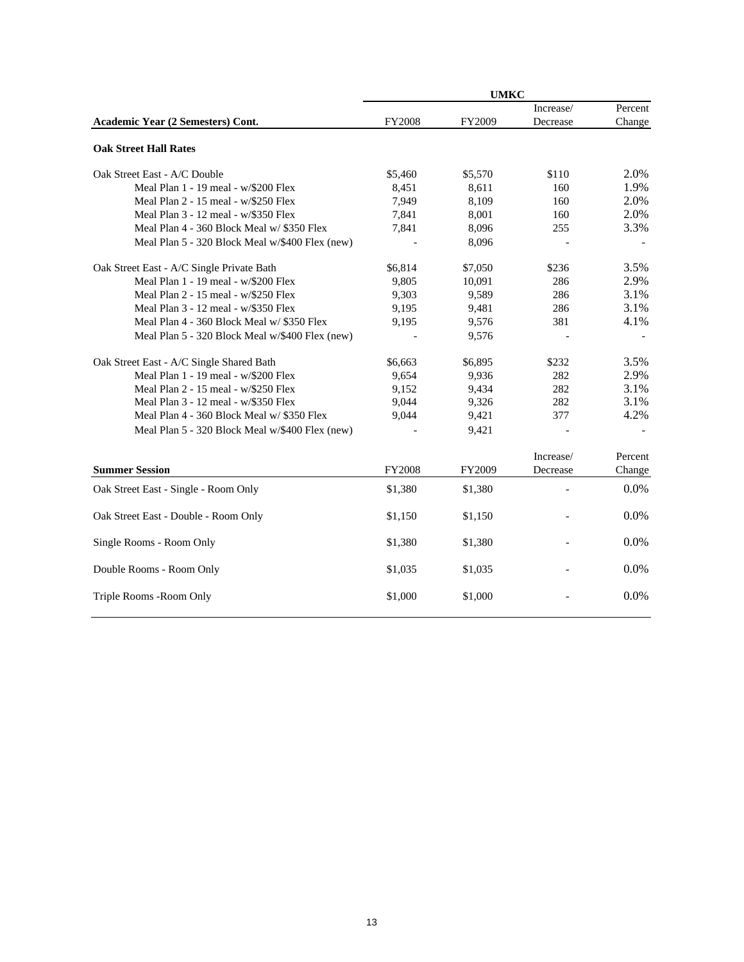|                                                 | <b>UMKC</b>    |         |           |         |  |  |
|-------------------------------------------------|----------------|---------|-----------|---------|--|--|
|                                                 |                |         | Increase/ | Percent |  |  |
| Academic Year (2 Semesters) Cont.               | <b>FY2008</b>  | FY2009  | Decrease  | Change  |  |  |
| <b>Oak Street Hall Rates</b>                    |                |         |           |         |  |  |
| Oak Street East - A/C Double                    | \$5,460        | \$5,570 | \$110     | 2.0%    |  |  |
| Meal Plan 1 - 19 meal - w/\$200 Flex            | 8,451          | 8,611   | 160       | 1.9%    |  |  |
| Meal Plan 2 - 15 meal - w/\$250 Flex            | 7,949          | 8,109   | 160       | 2.0%    |  |  |
| Meal Plan 3 - 12 meal - w/\$350 Flex            | 7,841          | 8,001   | 160       | 2.0%    |  |  |
| Meal Plan 4 - 360 Block Meal w/ \$350 Flex      | 7,841          | 8,096   | 255       | 3.3%    |  |  |
| Meal Plan 5 - 320 Block Meal w/\$400 Flex (new) | $\overline{a}$ | 8,096   |           |         |  |  |
| Oak Street East - A/C Single Private Bath       | \$6,814        | \$7,050 | \$236     | 3.5%    |  |  |
| Meal Plan 1 - 19 meal - w/\$200 Flex            | 9,805          | 10,091  | 286       | 2.9%    |  |  |
| Meal Plan 2 - 15 meal - w/\$250 Flex            | 9,303          | 9,589   | 286       | 3.1%    |  |  |
| Meal Plan 3 - 12 meal - w/\$350 Flex            | 9,195          | 9,481   | 286       | 3.1%    |  |  |
| Meal Plan 4 - 360 Block Meal w/ \$350 Flex      | 9,195          | 9,576   | 381       | 4.1%    |  |  |
| Meal Plan 5 - 320 Block Meal w/\$400 Flex (new) |                | 9,576   |           |         |  |  |
| Oak Street East - A/C Single Shared Bath        | \$6,663        | \$6,895 | \$232     | 3.5%    |  |  |
| Meal Plan 1 - 19 meal - w/\$200 Flex            | 9,654          | 9,936   | 282       | 2.9%    |  |  |
| Meal Plan 2 - 15 meal - w/\$250 Flex            | 9,152          | 9,434   | 282       | 3.1%    |  |  |
| Meal Plan 3 - 12 meal - w/\$350 Flex            | 9,044          | 9,326   | 282       | 3.1%    |  |  |
| Meal Plan 4 - 360 Block Meal w/ \$350 Flex      | 9,044          | 9,421   | 377       | 4.2%    |  |  |
| Meal Plan 5 - 320 Block Meal w/\$400 Flex (new) |                | 9,421   |           |         |  |  |
|                                                 |                |         | Increase/ | Percent |  |  |
| <b>Summer Session</b>                           | <b>FY2008</b>  | FY2009  | Decrease  | Change  |  |  |
| Oak Street East - Single - Room Only            | \$1,380        | \$1,380 |           | 0.0%    |  |  |
| Oak Street East - Double - Room Only            | \$1,150        | \$1,150 |           | 0.0%    |  |  |
| Single Rooms - Room Only                        | \$1,380        | \$1,380 |           | $0.0\%$ |  |  |
| Double Rooms - Room Only                        | \$1,035        | \$1,035 |           | 0.0%    |  |  |
| Triple Rooms - Room Only                        | \$1,000        | \$1,000 |           | 0.0%    |  |  |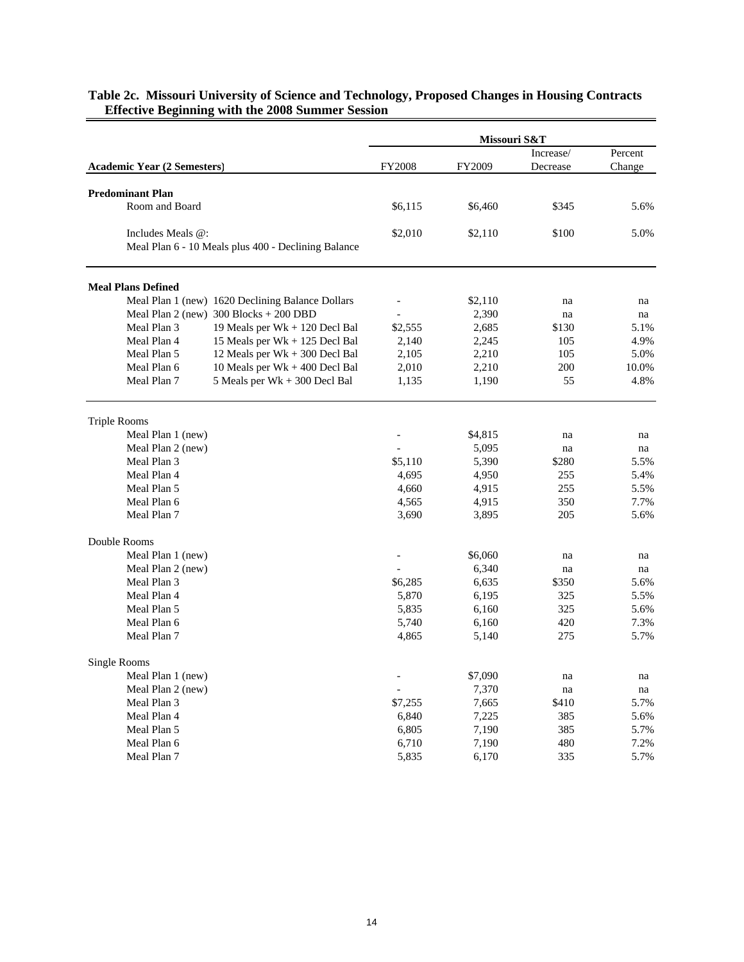| Increase/<br><b>FY2008</b><br><b>Academic Year (2 Semesters)</b><br>FY2009<br>Decrease<br><b>Predominant Plan</b><br>Room and Board<br>\$6,115<br>\$345<br>\$6,460<br>Includes Meals @:<br>\$2,010<br>\$100<br>\$2,110 | Percent<br>Change<br>5.6%<br>5.0% |
|------------------------------------------------------------------------------------------------------------------------------------------------------------------------------------------------------------------------|-----------------------------------|
|                                                                                                                                                                                                                        |                                   |
|                                                                                                                                                                                                                        |                                   |
|                                                                                                                                                                                                                        |                                   |
|                                                                                                                                                                                                                        |                                   |
|                                                                                                                                                                                                                        |                                   |
|                                                                                                                                                                                                                        |                                   |
| Meal Plan 6 - 10 Meals plus 400 - Declining Balance                                                                                                                                                                    |                                   |
| <b>Meal Plans Defined</b>                                                                                                                                                                                              |                                   |
| Meal Plan 1 (new) 1620 Declining Balance Dollars<br>\$2,110<br>na                                                                                                                                                      | na                                |
| Meal Plan 2 (new) $300$ Blocks + 200 DBD<br>2,390<br>na                                                                                                                                                                | na                                |
| Meal Plan 3<br>19 Meals per Wk + 120 Decl Bal<br>\$2,555<br>\$130<br>2,685                                                                                                                                             | 5.1%                              |
| Meal Plan 4<br>15 Meals per Wk + 125 Decl Bal<br>2,140<br>2,245<br>105                                                                                                                                                 | 4.9%                              |
| 12 Meals per Wk + 300 Decl Bal<br>2,210<br>Meal Plan 5<br>2,105<br>105                                                                                                                                                 | 5.0%                              |
| Meal Plan 6<br>10 Meals per Wk + 400 Decl Bal<br>2,010<br>2,210<br>200                                                                                                                                                 | 10.0%                             |
| Meal Plan 7<br>5 Meals per Wk + 300 Decl Bal<br>1,190<br>55<br>1,135                                                                                                                                                   | 4.8%                              |
| <b>Triple Rooms</b>                                                                                                                                                                                                    |                                   |
| Meal Plan 1 (new)<br>\$4,815<br>na                                                                                                                                                                                     | na                                |
| Meal Plan 2 (new)<br>5,095<br>na                                                                                                                                                                                       | na                                |
| Meal Plan 3<br>\$5,110<br>5,390<br>\$280                                                                                                                                                                               | 5.5%                              |
| Meal Plan 4<br>4,695<br>4,950<br>255                                                                                                                                                                                   | 5.4%                              |
| Meal Plan 5<br>4,660<br>4,915<br>255                                                                                                                                                                                   | 5.5%                              |
| Meal Plan 6<br>4,565<br>4,915<br>350                                                                                                                                                                                   | 7.7%                              |
| Meal Plan 7<br>3,690<br>3,895<br>205                                                                                                                                                                                   | 5.6%                              |
| Double Rooms                                                                                                                                                                                                           |                                   |
| Meal Plan 1 (new)<br>\$6,060<br>na                                                                                                                                                                                     | na                                |
| Meal Plan 2 (new)<br>6,340<br>na                                                                                                                                                                                       | na                                |
| Meal Plan 3<br>\$6,285<br>\$350<br>6,635                                                                                                                                                                               | 5.6%                              |
| Meal Plan 4<br>5,870<br>6,195<br>325                                                                                                                                                                                   | 5.5%                              |
| Meal Plan 5<br>5,835<br>6,160<br>325                                                                                                                                                                                   | 5.6%                              |
| 5,740<br>Meal Plan 6<br>6,160<br>420                                                                                                                                                                                   | 7.3%                              |
| Meal Plan 7<br>4,865<br>5,140<br>275                                                                                                                                                                                   | 5.7%                              |
| Single Rooms<br>Meal Plan 1 (new)<br>\$7,090                                                                                                                                                                           |                                   |
| na<br>7,370<br>Meal Plan 2 (new)<br>$\overline{\phantom{0}}$                                                                                                                                                           | na                                |
| na<br>Meal Plan 3<br>\$7,255<br>7,665<br>\$410                                                                                                                                                                         | na<br>5.7%                        |
| Meal Plan 4<br>6,840<br>7,225<br>385                                                                                                                                                                                   | 5.6%                              |
| Meal Plan 5<br>6,805<br>7,190<br>385                                                                                                                                                                                   | 5.7%                              |
| Meal Plan 6<br>6,710<br>7,190<br>480                                                                                                                                                                                   | 7.2%                              |
| Meal Plan 7<br>5,835<br>6,170<br>335                                                                                                                                                                                   | 5.7%                              |

#### **Table 2c. Missouri University of Science and Technology, Proposed Changes in Housing Contracts Effective Beginning with the 2008 Summer Session**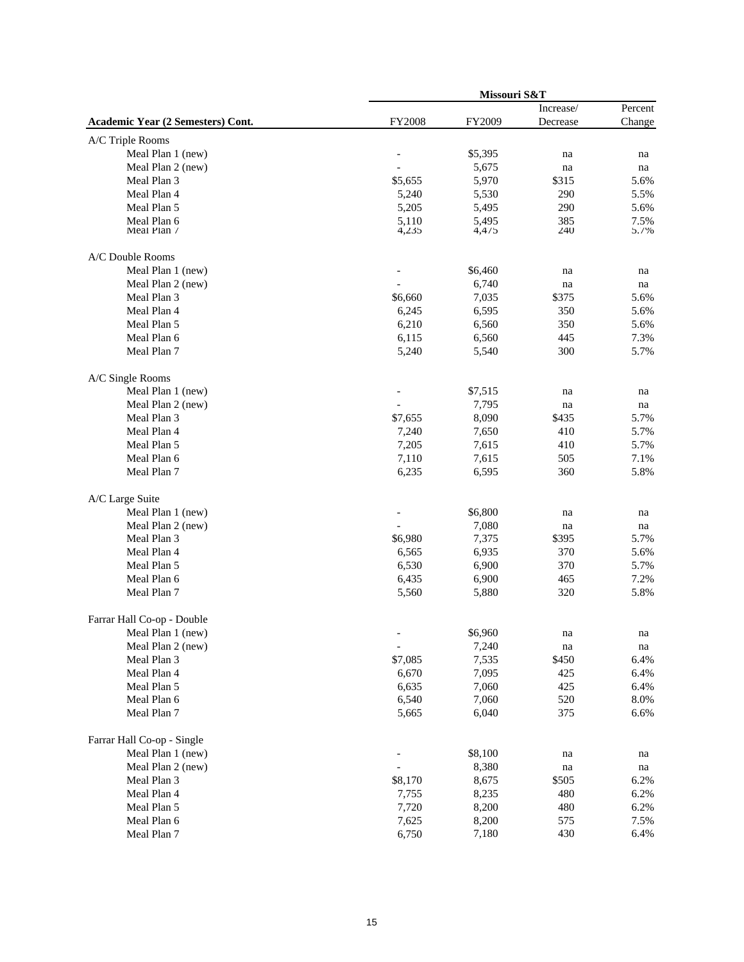|                                   | Missouri S&T      |         |             |            |  |  |
|-----------------------------------|-------------------|---------|-------------|------------|--|--|
|                                   |                   |         | Increase/   | Percent    |  |  |
| Academic Year (2 Semesters) Cont. | FY2008            | FY2009  | Decrease    | Change     |  |  |
| A/C Triple Rooms                  |                   |         |             |            |  |  |
| Meal Plan 1 (new)                 |                   | \$5,395 | na          | na         |  |  |
| Meal Plan 2 (new)                 |                   | 5,675   | na          | na         |  |  |
| Meal Plan 3                       | \$5,655           | 5,970   | \$315       | 5.6%       |  |  |
| Meal Plan 4                       | 5,240             | 5,530   | 290         | 5.5%       |  |  |
| Meal Plan 5                       | 5,205             | 5,495   | 290         | 5.6%       |  |  |
| Meal Plan 6                       | 5,110             | 5,495   | 385         | 7.5%       |  |  |
| Meal Plan /                       | 4,235             | 4,475   | 240         | 5.7%       |  |  |
| A/C Double Rooms                  |                   |         |             |            |  |  |
| Meal Plan 1 (new)                 |                   | \$6,460 | na          | na         |  |  |
| Meal Plan 2 (new)                 |                   | 6,740   | na          | na         |  |  |
| Meal Plan 3                       | \$6,660           | 7,035   | \$375       | 5.6%       |  |  |
| Meal Plan 4                       | 6,245             | 6,595   | 350         | 5.6%       |  |  |
| Meal Plan 5                       | 6,210             | 6,560   | 350         | 5.6%       |  |  |
| Meal Plan 6                       | 6,115             | 6,560   | 445         | 7.3%       |  |  |
| Meal Plan 7                       | 5,240             | 5,540   | 300         | 5.7%       |  |  |
| A/C Single Rooms                  |                   |         |             |            |  |  |
| Meal Plan 1 (new)                 |                   | \$7,515 |             |            |  |  |
| Meal Plan 2 (new)                 |                   | 7,795   | na          | na         |  |  |
| Meal Plan 3                       | \$7,655           | 8,090   | na<br>\$435 | na<br>5.7% |  |  |
| Meal Plan 4                       |                   |         | 410         |            |  |  |
| Meal Plan 5                       | 7,240<br>7,205    | 7,650   |             | 5.7%       |  |  |
| Meal Plan 6                       |                   | 7,615   | 410         | 5.7%       |  |  |
|                                   | 7,110             | 7,615   | 505         | 7.1%       |  |  |
| Meal Plan 7                       | 6,235             | 6,595   | 360         | 5.8%       |  |  |
| A/C Large Suite                   |                   |         |             |            |  |  |
| Meal Plan 1 (new)                 |                   | \$6,800 | na          | na         |  |  |
| Meal Plan 2 (new)                 |                   | 7,080   | na          | na         |  |  |
| Meal Plan 3                       | \$6,980           | 7,375   | \$395       | 5.7%       |  |  |
| Meal Plan 4                       | 6,565             | 6,935   | 370         | 5.6%       |  |  |
| Meal Plan 5                       | 6,530             | 6,900   | 370         | 5.7%       |  |  |
| Meal Plan 6                       | 6,435             | 6,900   | 465         | 7.2%       |  |  |
| Meal Plan 7                       | 5,560             | 5,880   | 320         | 5.8%       |  |  |
| Farrar Hall Co-op - Double        |                   |         |             |            |  |  |
| Meal Plan 1 (new)                 |                   | \$6,960 | na          | na         |  |  |
| Meal Plan 2 (new)                 | $\qquad \qquad -$ | 7,240   | na          | na         |  |  |
| Meal Plan 3                       | \$7,085           | 7,535   | \$450       | 6.4%       |  |  |
| Meal Plan 4                       | 6,670             | 7,095   | 425         | 6.4%       |  |  |
| Meal Plan 5                       | 6,635             | 7,060   | 425         | 6.4%       |  |  |
| Meal Plan 6                       | 6,540             | 7,060   | 520         | 8.0%       |  |  |
| Meal Plan 7                       | 5,665             | 6,040   | 375         | 6.6%       |  |  |
| Farrar Hall Co-op - Single        |                   |         |             |            |  |  |
| Meal Plan 1 (new)                 |                   | \$8,100 | na          | na         |  |  |
| Meal Plan 2 (new)                 |                   | 8,380   | na          | na         |  |  |
| Meal Plan 3                       | \$8,170           | 8,675   | \$505       | 6.2%       |  |  |
| Meal Plan 4                       | 7,755             | 8,235   | 480         | 6.2%       |  |  |
| Meal Plan 5                       | 7,720             | 8,200   | 480         | 6.2%       |  |  |
| Meal Plan 6                       | 7,625             | 8,200   | 575         | 7.5%       |  |  |
| Meal Plan 7                       | 6,750             | 7,180   | 430         | 6.4%       |  |  |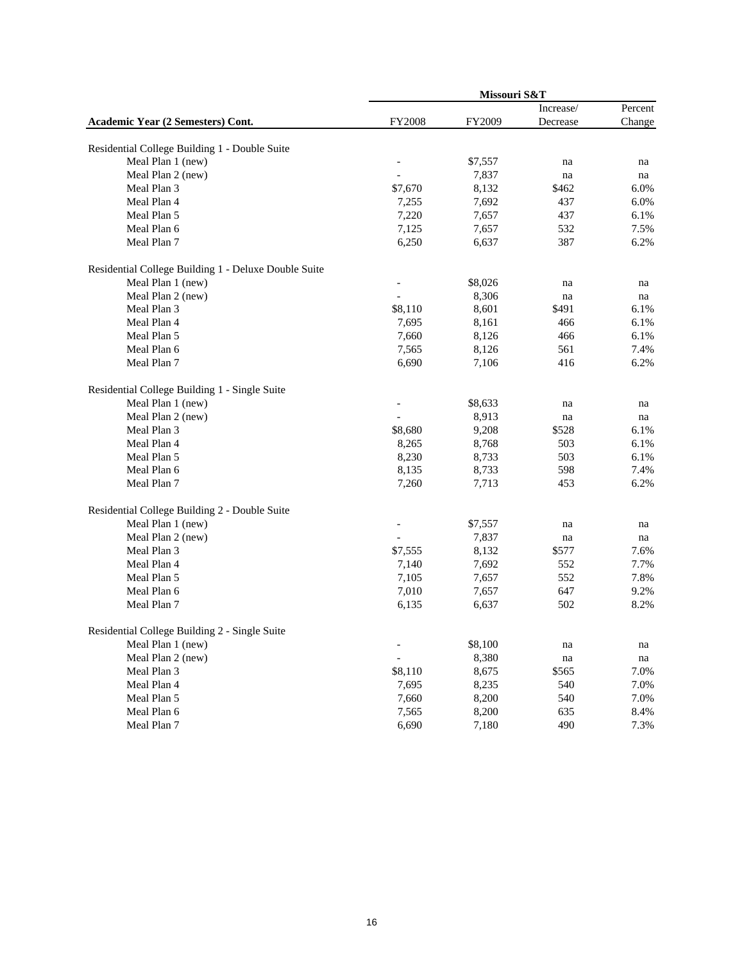|                                                      | Missouri S&T             |         |                     |         |  |
|------------------------------------------------------|--------------------------|---------|---------------------|---------|--|
|                                                      |                          |         | Increase/           | Percent |  |
| Academic Year (2 Semesters) Cont.                    | <b>FY2008</b>            | FY2009  | Decrease            | Change  |  |
| Residential College Building 1 - Double Suite        |                          |         |                     |         |  |
| Meal Plan 1 (new)                                    |                          | \$7,557 | na                  | na      |  |
| Meal Plan 2 (new)                                    |                          | 7,837   | na                  | na      |  |
| Meal Plan 3                                          | \$7,670                  | 8,132   | \$462               | 6.0%    |  |
| Meal Plan 4                                          | 7,255                    | 7,692   | 437                 | 6.0%    |  |
| Meal Plan 5                                          | 7,220                    | 7,657   | 437                 | 6.1%    |  |
| Meal Plan 6                                          | 7,125                    | 7,657   | 532                 | 7.5%    |  |
| Meal Plan 7                                          | 6,250                    | 6,637   | 387                 | 6.2%    |  |
| Residential College Building 1 - Deluxe Double Suite |                          |         |                     |         |  |
| Meal Plan 1 (new)                                    |                          | \$8,026 | na                  | na      |  |
| Meal Plan 2 (new)                                    |                          | 8,306   | na                  | na      |  |
| Meal Plan 3                                          | \$8,110                  | 8,601   | \$491               | 6.1%    |  |
| Meal Plan 4                                          | 7,695                    | 8,161   | 466                 | 6.1%    |  |
| Meal Plan 5                                          | 7,660                    | 8,126   | 466                 | 6.1%    |  |
| Meal Plan 6                                          | 7,565                    | 8,126   | 561                 | 7.4%    |  |
| Meal Plan 7                                          | 6,690                    | 7,106   | 416                 | 6.2%    |  |
| Residential College Building 1 - Single Suite        |                          |         |                     |         |  |
| Meal Plan 1 (new)                                    |                          | \$8,633 | na                  | na      |  |
| Meal Plan 2 (new)                                    |                          | 8,913   | na                  | na      |  |
| Meal Plan 3                                          | \$8,680                  | 9,208   | \$528               | 6.1%    |  |
| Meal Plan 4                                          | 8,265                    | 8,768   | 503                 | 6.1%    |  |
| Meal Plan 5                                          | 8,230                    | 8,733   | 503                 | 6.1%    |  |
| Meal Plan 6                                          | 8,135                    | 8,733   | 598                 | 7.4%    |  |
| Meal Plan 7                                          | 7,260                    | 7,713   | 453                 | 6.2%    |  |
| Residential College Building 2 - Double Suite        |                          |         |                     |         |  |
| Meal Plan 1 (new)                                    |                          | \$7,557 | na                  | na      |  |
| Meal Plan 2 (new)                                    |                          | 7,837   | na                  | na      |  |
| Meal Plan 3                                          | \$7,555                  | 8,132   | \$577               | 7.6%    |  |
| Meal Plan 4                                          | 7,140                    | 7,692   | 552                 | 7.7%    |  |
| Meal Plan 5                                          | 7,105                    | 7,657   | 552                 | 7.8%    |  |
| Meal Plan 6                                          | 7,010                    | 7,657   | 647                 | 9.2%    |  |
| Meal Plan 7                                          | 6,135                    | 6,637   | 502                 | 8.2%    |  |
| Residential College Building 2 - Single Suite        |                          |         |                     |         |  |
| Meal Plan 1 (new)                                    | $\overline{\phantom{0}}$ | \$8,100 | na                  | na      |  |
| Meal Plan 2 (new)                                    | $\qquad \qquad \Box$     | 8,380   | $\operatorname{na}$ | na      |  |
| Meal Plan 3                                          | \$8,110                  | 8,675   | \$565               | 7.0%    |  |
| Meal Plan 4                                          | 7,695                    | 8,235   | 540                 | 7.0%    |  |
| Meal Plan 5                                          | 7,660                    | 8,200   | 540                 | 7.0%    |  |
| Meal Plan 6                                          | 7,565                    | 8,200   | 635                 | 8.4%    |  |
| Meal Plan 7                                          | 6,690                    | 7,180   | 490                 | 7.3%    |  |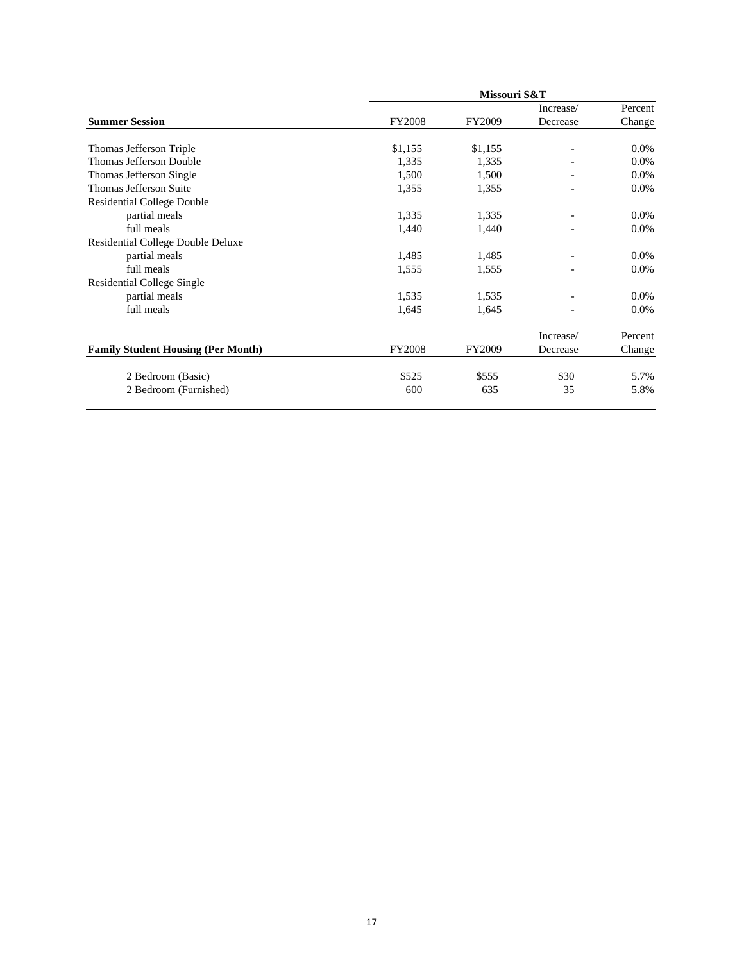|                                           |               | Missouri S&T |           |         |
|-------------------------------------------|---------------|--------------|-----------|---------|
|                                           |               |              | Increase/ | Percent |
| <b>Summer Session</b>                     | <b>FY2008</b> | FY2009       | Decrease  | Change  |
| Thomas Jefferson Triple                   | \$1,155       | \$1,155      |           | $0.0\%$ |
| Thomas Jefferson Double                   | 1,335         | 1,335        |           | $0.0\%$ |
| Thomas Jefferson Single                   | 1,500         | 1,500        |           | 0.0%    |
| Thomas Jefferson Suite                    | 1,355         | 1,355        |           | $0.0\%$ |
| <b>Residential College Double</b>         |               |              |           |         |
| partial meals                             | 1,335         | 1,335        |           | $0.0\%$ |
| full meals                                | 1,440         | 1,440        |           | $0.0\%$ |
| Residential College Double Deluxe         |               |              |           |         |
| partial meals                             | 1,485         | 1,485        |           | $0.0\%$ |
| full meals                                | 1,555         | 1,555        |           | 0.0%    |
| <b>Residential College Single</b>         |               |              |           |         |
| partial meals                             | 1,535         | 1,535        |           | $0.0\%$ |
| full meals                                | 1,645         | 1,645        |           | $0.0\%$ |
|                                           |               |              | Increase/ | Percent |
| <b>Family Student Housing (Per Month)</b> | <b>FY2008</b> | FY2009       | Decrease  | Change  |
| 2 Bedroom (Basic)                         | \$525         | \$555        | \$30      | 5.7%    |
| 2 Bedroom (Furnished)                     | 600           | 635          | 35        | 5.8%    |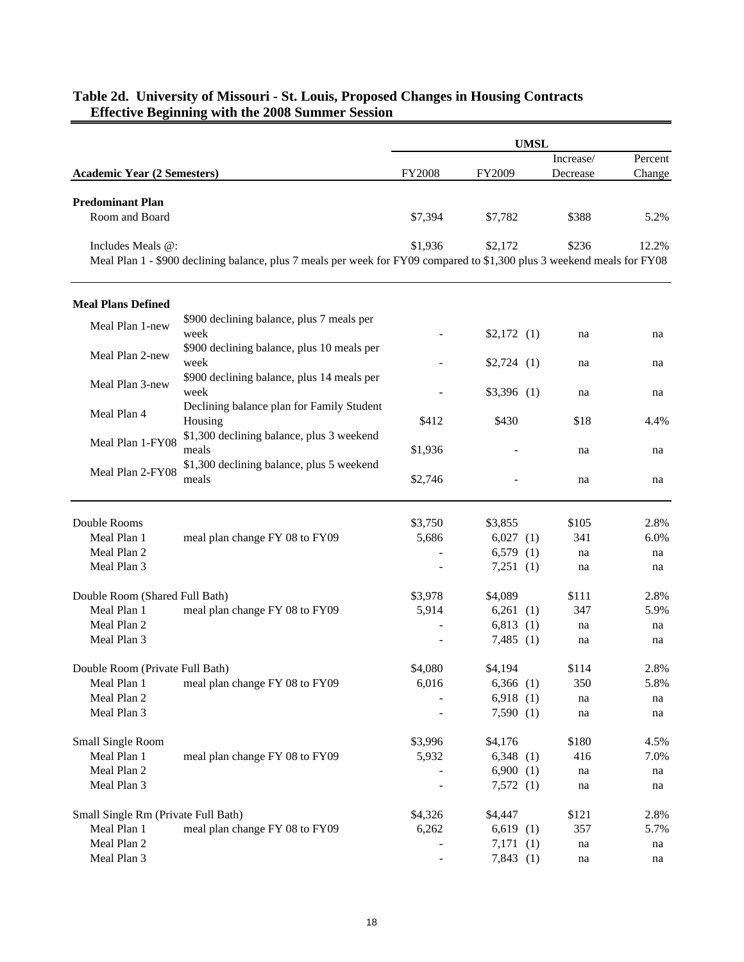|                                           |                                                                                                                         |         |              | <b>UMSL</b> |           |         |
|-------------------------------------------|-------------------------------------------------------------------------------------------------------------------------|---------|--------------|-------------|-----------|---------|
|                                           |                                                                                                                         |         |              |             | Increase/ | Percent |
| <b>Academic Year (2 Semesters)</b>        |                                                                                                                         | FY2008  | FY2009       |             | Decrease  | Change  |
| <b>Predominant Plan</b><br>Room and Board |                                                                                                                         | \$7,394 | \$7,782      |             | \$388     | 5.2%    |
| Includes Meals @:                         | Meal Plan 1 - \$900 declining balance, plus 7 meals per week for FY09 compared to \$1,300 plus 3 weekend meals for FY08 | \$1,936 | \$2,172      |             | \$236     | 12.2%   |
| <b>Meal Plans Defined</b>                 |                                                                                                                         |         |              |             |           |         |
| Meal Plan 1-new                           | \$900 declining balance, plus 7 meals per<br>week                                                                       |         | $$2,172$ (1) |             | na        | na      |
| Meal Plan 2-new                           | \$900 declining balance, plus 10 meals per<br>week                                                                      |         | $$2,724$ (1) |             | na        | na      |
| Meal Plan 3-new                           | \$900 declining balance, plus 14 meals per<br>week                                                                      |         | $$3,396$ (1) |             | na        | na      |
| Meal Plan 4                               | Declining balance plan for Family Student<br>Housing                                                                    | \$412   | \$430        |             | \$18      | 4.4%    |
| Meal Plan 1-FY08                          | \$1,300 declining balance, plus 3 weekend<br>meals<br>\$1,300 declining balance, plus 5 weekend                         | \$1,936 |              |             | na        | na      |
| Meal Plan 2-FY08                          | meals                                                                                                                   | \$2,746 |              |             | na        | na      |
| Double Rooms                              |                                                                                                                         | \$3,750 | \$3,855      |             | \$105     | 2.8%    |
| Meal Plan 1                               | meal plan change FY 08 to FY09                                                                                          | 5,686   | $6,027$ (1)  |             | 341       | 6.0%    |
| Meal Plan 2                               |                                                                                                                         |         | $6,579$ (1)  |             | na        | na      |
| Meal Plan 3                               |                                                                                                                         |         | 7,251(1)     |             | na        | na      |
| Double Room (Shared Full Bath)            |                                                                                                                         | \$3,978 | \$4,089      |             | \$111     | 2.8%    |
| Meal Plan 1                               | meal plan change FY 08 to FY09                                                                                          | 5,914   | $6,261$ (1)  |             | 347       | 5.9%    |
| Meal Plan 2                               |                                                                                                                         |         | 6,813(1)     |             | na        | na      |
| Meal Plan 3                               |                                                                                                                         |         | $7,485$ (1)  |             | na        | na      |
| Double Room (Private Full Bath)           |                                                                                                                         | \$4,080 | \$4,194      |             | \$114     | 2.8%    |
| Meal Plan 1                               | meal plan change FY 08 to FY09                                                                                          | 6,016   | $6,366$ (1)  |             | 350       | 5.8%    |
| Meal Plan 2                               |                                                                                                                         |         | $6,918$ (1)  |             | na        | na      |
| Meal Plan 3                               |                                                                                                                         |         | 7,590(1)     |             | na        | na      |
| Small Single Room                         |                                                                                                                         | \$3,996 | \$4,176      |             | \$180     | 4.5%    |
| Meal Plan 1                               | meal plan change FY 08 to FY09                                                                                          | 5,932   | $6,348$ (1)  |             | 416       | 7.0%    |
| Meal Plan 2                               |                                                                                                                         |         | 6,900(1)     |             | na        | na      |
| Meal Plan 3                               |                                                                                                                         |         | 7,572(1)     |             | na        | na      |
| Small Single Rm (Private Full Bath)       |                                                                                                                         | \$4,326 | \$4,447      |             | \$121     | 2.8%    |
| Meal Plan 1                               | meal plan change FY 08 to FY09                                                                                          | 6,262   | $6,619$ (1)  |             | 357       | 5.7%    |
| Meal Plan 2                               |                                                                                                                         |         | 7,171(1)     |             | na        | na      |
| Meal Plan 3                               |                                                                                                                         |         | 7,843(1)     |             | na        | na      |

### **Table 2d. University of Missouri - St. Louis, Proposed Changes in Housing Contracts Effective Beginning with the 2008 Summer Session**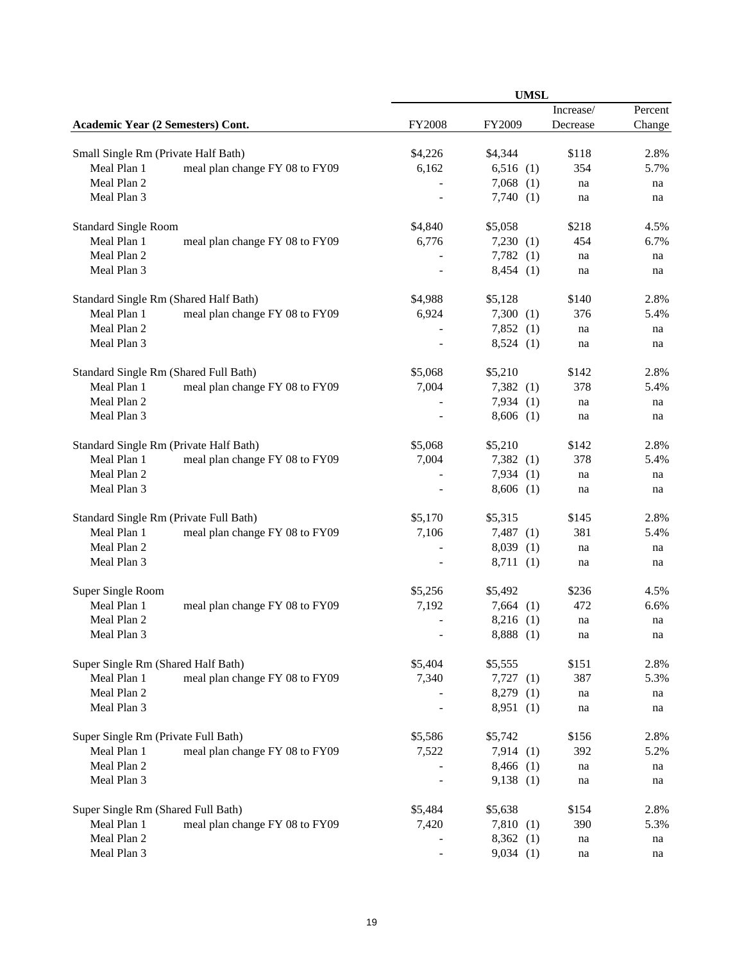|                                     |                                        |               |             | <b>UMSL</b> |                     |         |
|-------------------------------------|----------------------------------------|---------------|-------------|-------------|---------------------|---------|
|                                     |                                        |               |             |             | Increase/           | Percent |
| Academic Year (2 Semesters) Cont.   |                                        | <b>FY2008</b> | FY2009      |             | Decrease            | Change  |
| Small Single Rm (Private Half Bath) |                                        | \$4,226       | \$4,344     |             | \$118               | 2.8%    |
| Meal Plan 1                         | meal plan change FY 08 to FY09         | 6,162         | 6,516(1)    |             | 354                 | 5.7%    |
| Meal Plan 2                         |                                        |               | $7,068$ (1) |             | na                  | na      |
| Meal Plan 3                         |                                        |               | 7,740(1)    |             | na                  |         |
|                                     |                                        |               |             |             |                     | na      |
| <b>Standard Single Room</b>         |                                        | \$4,840       | \$5,058     |             | \$218               | 4.5%    |
| Meal Plan 1                         | meal plan change FY 08 to FY09         | 6,776         | 7,230(1)    |             | 454                 | 6.7%    |
| Meal Plan 2                         |                                        |               | $7,782$ (1) |             | na                  | na      |
| Meal Plan 3                         |                                        |               | 8,454(1)    |             | na                  | na      |
|                                     | Standard Single Rm (Shared Half Bath)  | \$4,988       | \$5,128     |             | \$140               | 2.8%    |
| Meal Plan 1                         | meal plan change FY 08 to FY09         | 6,924         | 7,300(1)    |             | 376                 | 5.4%    |
| Meal Plan 2                         |                                        |               | 7,852(1)    |             | na                  | na      |
| Meal Plan 3                         |                                        |               | 8,524(1)    |             | na                  | na      |
|                                     |                                        |               |             |             |                     |         |
|                                     | Standard Single Rm (Shared Full Bath)  | \$5,068       | \$5,210     |             | \$142               | 2.8%    |
| Meal Plan 1                         | meal plan change FY 08 to FY09         | 7,004         | $7,382$ (1) |             | 378                 | 5.4%    |
| Meal Plan 2                         |                                        |               | 7,934(1)    |             | na                  | na      |
| Meal Plan 3                         |                                        |               | $8,606$ (1) |             | na                  | na      |
|                                     | Standard Single Rm (Private Half Bath) | \$5,068       | \$5,210     |             | \$142               | 2.8%    |
| Meal Plan 1                         | meal plan change FY 08 to FY09         | 7,004         | $7,382$ (1) |             | 378                 | 5.4%    |
| Meal Plan 2                         |                                        |               | 7,934(1)    |             | na                  | na      |
| Meal Plan 3                         |                                        |               | $8,606$ (1) |             | na                  | na      |
|                                     | Standard Single Rm (Private Full Bath) | \$5,170       | \$5,315     |             | \$145               | 2.8%    |
| Meal Plan 1                         | meal plan change FY 08 to FY09         | 7,106         | $7,487$ (1) |             | 381                 | 5.4%    |
| Meal Plan 2                         |                                        |               | 8,039(1)    |             | na                  | na      |
| Meal Plan 3                         |                                        |               | 8,711(1)    |             | na                  | na      |
|                                     |                                        |               |             |             |                     |         |
| Super Single Room                   |                                        | \$5,256       | \$5,492     |             | \$236               | 4.5%    |
| Meal Plan 1<br>Meal Plan 2          | meal plan change FY 08 to FY09         | 7,192         | $7,664$ (1) |             | 472                 | 6.6%    |
|                                     |                                        |               | $8,216$ (1) |             | na                  | na      |
| Meal Plan 3                         |                                        |               | 8,888 (1)   |             | $\operatorname{na}$ | na      |
| Super Single Rm (Shared Half Bath)  |                                        | \$5,404       | \$5,555     |             | \$151               | 2.8%    |
| Meal Plan 1                         | meal plan change FY 08 to FY09         | 7,340         | $7,727$ (1) |             | 387                 | 5.3%    |
| Meal Plan 2                         |                                        |               | $8,279$ (1) |             | na                  | na      |
| Meal Plan 3                         |                                        |               | 8,951(1)    |             | na                  | na      |
| Super Single Rm (Private Full Bath) |                                        | \$5,586       | \$5,742     |             | \$156               | 2.8%    |
| Meal Plan 1                         | meal plan change FY 08 to FY09         | 7,522         | 7,914(1)    |             | 392                 | 5.2%    |
| Meal Plan 2                         |                                        |               | $8,466$ (1) |             | na                  | na      |
| Meal Plan 3                         |                                        |               | 9,138(1)    |             | na                  | na      |
| Super Single Rm (Shared Full Bath)  |                                        | \$5,484       | \$5,638     |             | \$154               | 2.8%    |
| Meal Plan 1                         | meal plan change FY 08 to FY09         | 7,420         | 7,810(1)    |             | 390                 | 5.3%    |
| Meal Plan 2                         |                                        |               | 8,362(1)    |             | na                  | na      |
| Meal Plan 3                         |                                        |               | 9,034(1)    |             | na                  | na      |
|                                     |                                        |               |             |             |                     |         |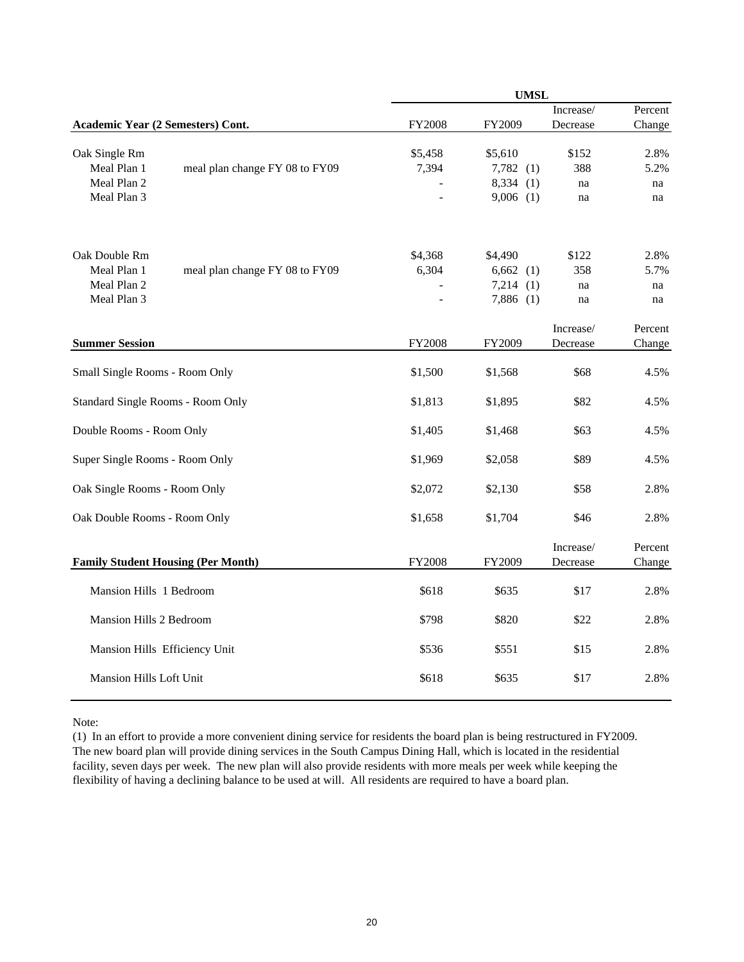|                                   |                                           |               | <b>UMSL</b>  |                       |                   |
|-----------------------------------|-------------------------------------------|---------------|--------------|-----------------------|-------------------|
|                                   |                                           |               |              | Increase/             | Percent           |
| Academic Year (2 Semesters) Cont. |                                           | FY2008        | FY2009       | Decrease              | Change            |
| Oak Single Rm                     |                                           | \$5,458       | \$5,610      | \$152                 | 2.8%              |
| Meal Plan 1                       | meal plan change FY 08 to FY09            | 7,394         | $7,782$ (1)  | 388                   | 5.2%              |
| Meal Plan 2                       |                                           |               | 8,334<br>(1) | na                    | na                |
| Meal Plan 3                       |                                           |               | $9,006$ (1)  | na                    | na                |
|                                   |                                           |               |              |                       |                   |
| Oak Double Rm                     |                                           | \$4,368       | \$4,490      | \$122                 | 2.8%              |
| Meal Plan 1                       | meal plan change FY 08 to FY09            | 6,304         | $6,662$ (1)  | 358                   | 5.7%              |
| Meal Plan 2                       |                                           |               | 7,214<br>(1) | na                    | na                |
| Meal Plan 3                       |                                           |               | $7,886$ (1)  | na                    | na                |
|                                   |                                           |               |              | Increase/             | Percent           |
| <b>Summer Session</b>             |                                           | <b>FY2008</b> | FY2009       | Decrease              | Change            |
| Small Single Rooms - Room Only    |                                           | \$1,500       | \$1,568      | \$68                  | 4.5%              |
| Standard Single Rooms - Room Only |                                           | \$1,813       | \$1,895      | \$82                  | 4.5%              |
| Double Rooms - Room Only          |                                           | \$1,405       | \$1,468      | \$63                  | 4.5%              |
| Super Single Rooms - Room Only    |                                           | \$1,969       | \$2,058      | \$89                  | 4.5%              |
| Oak Single Rooms - Room Only      |                                           | \$2,072       | \$2,130      | \$58                  | 2.8%              |
| Oak Double Rooms - Room Only      |                                           | \$1,658       | \$1,704      | \$46                  | 2.8%              |
|                                   | <b>Family Student Housing (Per Month)</b> | <b>FY2008</b> | FY2009       | Increase/<br>Decrease | Percent<br>Change |
| Mansion Hills 1 Bedroom           |                                           | \$618         | \$635        | \$17                  | 2.8%              |
| Mansion Hills 2 Bedroom           |                                           | \$798         | \$820        | \$22                  | 2.8%              |
| Mansion Hills Efficiency Unit     |                                           | \$536         | \$551        | \$15                  | 2.8%              |
| Mansion Hills Loft Unit           |                                           | \$618         | \$635        | \$17                  | 2.8%              |

Note:

(1) In an effort to provide a more convenient dining service for residents the board plan is being restructured in FY2009. The new board plan will provide dining services in the South Campus Dining Hall, which is located in the residential facility, seven days per week. The new plan will also provide residents with more meals per week while keeping the flexibility of having a declining balance to be used at will. All residents are required to have a board plan.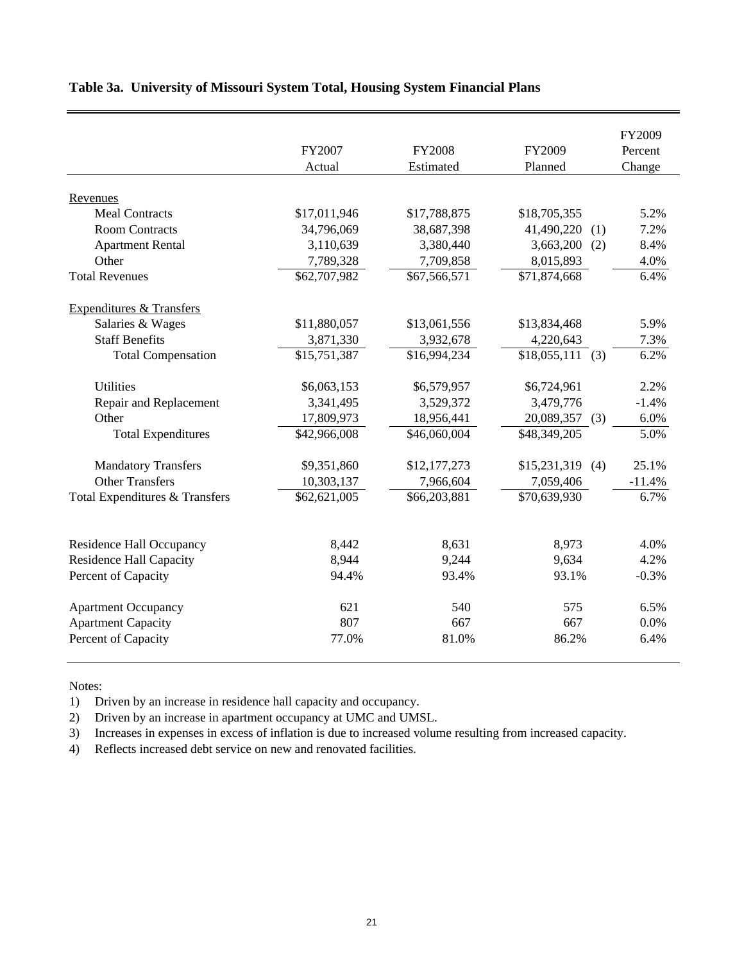|                                     | FY2007<br>Actual | <b>FY2008</b><br>Estimated | FY2009<br>Planned | FY2009<br>Percent<br>Change |
|-------------------------------------|------------------|----------------------------|-------------------|-----------------------------|
| Revenues                            |                  |                            |                   |                             |
| <b>Meal Contracts</b>               | \$17,011,946     | \$17,788,875               | \$18,705,355      | 5.2%                        |
| <b>Room Contracts</b>               | 34,796,069       | 38,687,398                 | 41,490,220<br>(1) | 7.2%                        |
| <b>Apartment Rental</b>             | 3,110,639        | 3,380,440                  | 3,663,200<br>(2)  | 8.4%                        |
| Other                               | 7,789,328        | 7,709,858                  | 8,015,893         | 4.0%                        |
| <b>Total Revenues</b>               | \$62,707,982     | \$67,566,571               | \$71,874,668      | 6.4%                        |
| <b>Expenditures &amp; Transfers</b> |                  |                            |                   |                             |
| Salaries & Wages                    | \$11,880,057     | \$13,061,556               | \$13,834,468      | 5.9%                        |
| <b>Staff Benefits</b>               | 3,871,330        | 3,932,678                  | 4,220,643         | 7.3%                        |
| <b>Total Compensation</b>           | \$15,751,387     | \$16,994,234               | $$18,055,111$ (3) | 6.2%                        |
| <b>Utilities</b>                    | \$6,063,153      | \$6,579,957                | \$6,724,961       | 2.2%                        |
| Repair and Replacement              | 3,341,495        | 3,529,372                  | 3,479,776         | $-1.4%$                     |
| Other                               | 17,809,973       | 18,956,441                 | 20,089,357<br>(3) | 6.0%                        |
| <b>Total Expenditures</b>           | \$42,966,008     | \$46,060,004               | \$48,349,205      | 5.0%                        |
| <b>Mandatory Transfers</b>          | \$9,351,860      | \$12,177,273               | $$15,231,319$ (4) | 25.1%                       |
| <b>Other Transfers</b>              | 10,303,137       | 7,966,604                  | 7,059,406         | $-11.4%$                    |
| Total Expenditures & Transfers      | \$62,621,005     | \$66,203,881               | \$70,639,930      | 6.7%                        |
| <b>Residence Hall Occupancy</b>     | 8,442            | 8,631                      | 8,973             | 4.0%                        |
| <b>Residence Hall Capacity</b>      | 8,944            | 9,244                      | 9,634             | 4.2%                        |
| Percent of Capacity                 | 94.4%            | 93.4%<br>93.1%             |                   | $-0.3%$                     |
|                                     |                  |                            |                   |                             |
| <b>Apartment Occupancy</b>          | 621              | 540                        | 575               | 6.5%                        |
| <b>Apartment Capacity</b>           | 807              | 667                        | 667               | 0.0%                        |
| Percent of Capacity                 | 77.0%            | 81.0%                      | 86.2%             | 6.4%                        |

## **Table 3a. University of Missouri System Total, Housing System Financial Plans**

Notes:

1) Driven by an increase in residence hall capacity and occupancy.

2) Driven by an increase in apartment occupancy at UMC and UMSL.

3) Increases in expenses in excess of inflation is due to increased volume resulting from increased capacity.

4) Reflects increased debt service on new and renovated facilities.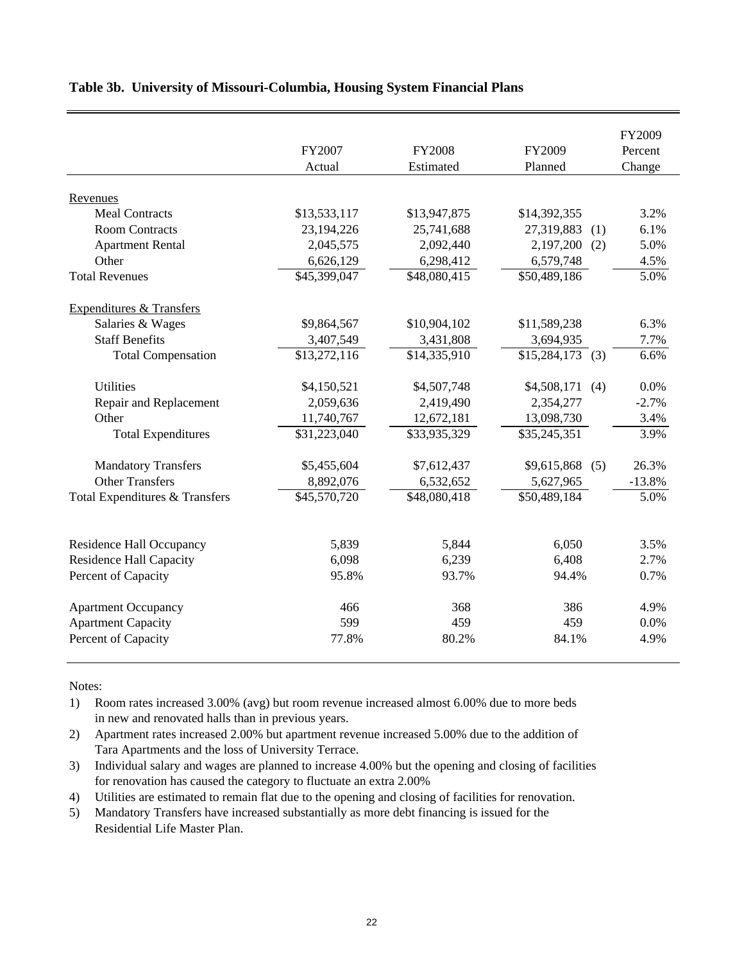|                                     |              |               |                         | FY2009   |
|-------------------------------------|--------------|---------------|-------------------------|----------|
|                                     | FY2007       | <b>FY2008</b> | FY2009                  | Percent  |
|                                     | Actual       | Estimated     | Planned                 | Change   |
|                                     |              |               |                         |          |
| Revenues<br><b>Meal Contracts</b>   | \$13,533,117 | \$13,947,875  | \$14,392,355            | 3.2%     |
| <b>Room Contracts</b>               | 23,194,226   | 25,741,688    | 27,319,883              | 6.1%     |
|                                     | 2,045,575    | 2,092,440     | (1)<br>2,197,200<br>(2) | 5.0%     |
| <b>Apartment Rental</b><br>Other    |              |               |                         |          |
|                                     | 6,626,129    | 6,298,412     | 6,579,748               | 4.5%     |
| <b>Total Revenues</b>               | \$45,399,047 | \$48,080,415  | \$50,489,186            | 5.0%     |
| <b>Expenditures &amp; Transfers</b> |              |               |                         |          |
| Salaries & Wages                    | \$9,864,567  | \$10,904,102  | \$11,589,238            | 6.3%     |
| <b>Staff Benefits</b>               | 3,407,549    | 3,431,808     | 3,694,935               | 7.7%     |
| <b>Total Compensation</b>           | \$13,272,116 | \$14,335,910  | $$15,284,173$ (3)       | 6.6%     |
| <b>Utilities</b>                    | \$4,150,521  | \$4,507,748   | \$4,508,171<br>(4)      | 0.0%     |
| Repair and Replacement              | 2,059,636    | 2,419,490     | 2,354,277               | $-2.7%$  |
| Other                               | 11,740,767   | 12,672,181    | 13,098,730              | 3.4%     |
| <b>Total Expenditures</b>           | \$31,223,040 | \$33,935,329  | \$35,245,351            | 3.9%     |
| <b>Mandatory Transfers</b>          | \$5,455,604  | \$7,612,437   | $$9,615,868$ (5)        | 26.3%    |
| <b>Other Transfers</b>              | 8,892,076    | 6,532,652     | 5,627,965               | $-13.8%$ |
| Total Expenditures & Transfers      | \$45,570,720 | \$48,080,418  | \$50,489,184            | 5.0%     |
|                                     |              |               |                         |          |
| <b>Residence Hall Occupancy</b>     | 5,839        | 5,844         | 6,050                   | 3.5%     |
| <b>Residence Hall Capacity</b>      | 6,098        | 6,239         | 6,408                   | 2.7%     |
| Percent of Capacity                 | 95.8%        | 93.7%         | 94.4%                   | 0.7%     |
| <b>Apartment Occupancy</b>          | 466          | 368           | 386                     | 4.9%     |
| <b>Apartment Capacity</b>           | 599          | 459           | 459                     | 0.0%     |
| Percent of Capacity                 | 77.8%        | 80.2%         | 84.1%                   | 4.9%     |

### **Table 3b. University of Missouri-Columbia, Housing System Financial Plans**

Notes:

1) Room rates increased 3.00% (avg) but room revenue increased almost 6.00% due to more beds in new and renovated halls than in previous years.

2) Apartment rates increased 2.00% but apartment revenue increased 5.00% due to the addition of Tara Apartments and the loss of University Terrace.

3) Individual salary and wages are planned to increase 4.00% but the opening and closing of facilities for renovation has caused the category to fluctuate an extra 2.00%

4) Utilities are estimated to remain flat due to the opening and closing of facilities for renovation.

5) Mandatory Transfers have increased substantially as more debt financing is issued for the Residential Life Master Plan.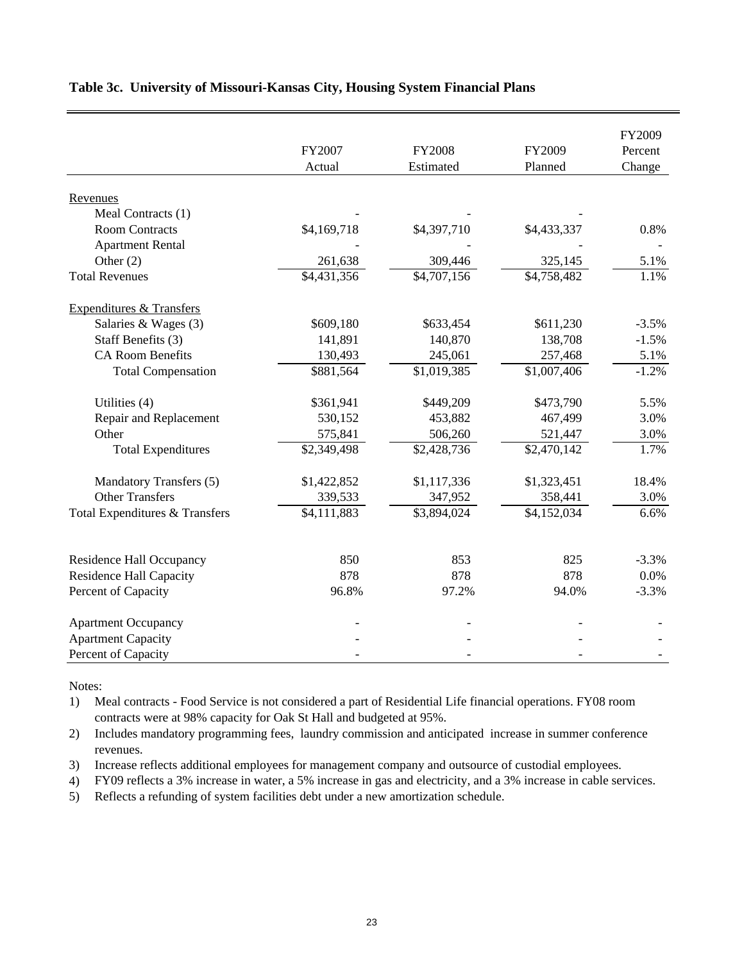|                                     |             |               |             | FY2009  |
|-------------------------------------|-------------|---------------|-------------|---------|
|                                     | FY2007      | <b>FY2008</b> | FY2009      | Percent |
|                                     | Actual      | Estimated     | Planned     | Change  |
| Revenues                            |             |               |             |         |
| Meal Contracts (1)                  |             |               |             |         |
| <b>Room Contracts</b>               | \$4,169,718 | \$4,397,710   | \$4,433,337 | 0.8%    |
| <b>Apartment Rental</b>             |             |               |             |         |
| Other $(2)$                         | 261,638     | 309,446       | 325,145     | 5.1%    |
| <b>Total Revenues</b>               | \$4,431,356 | \$4,707,156   | \$4,758,482 | 1.1%    |
| <b>Expenditures &amp; Transfers</b> |             |               |             |         |
| Salaries & Wages (3)                | \$609,180   | \$633,454     | \$611,230   | $-3.5%$ |
| Staff Benefits (3)                  | 141,891     | 140,870       | 138,708     | $-1.5%$ |
| <b>CA Room Benefits</b>             | 130,493     | 245,061       | 257,468     | 5.1%    |
| <b>Total Compensation</b>           | \$881,564   | \$1,019,385   | \$1,007,406 | $-1.2%$ |
| Utilities (4)                       | \$361,941   | \$449,209     | \$473,790   | 5.5%    |
| Repair and Replacement              | 530,152     | 453,882       | 467,499     | 3.0%    |
| Other                               | 575,841     | 506,260       | 521,447     | 3.0%    |
| <b>Total Expenditures</b>           | \$2,349,498 | \$2,428,736   | \$2,470,142 | 1.7%    |
| Mandatory Transfers (5)             | \$1,422,852 | \$1,117,336   | \$1,323,451 | 18.4%   |
| <b>Other Transfers</b>              | 339,533     | 347,952       | 358,441     | 3.0%    |
| Total Expenditures & Transfers      | \$4,111,883 | \$3,894,024   | \$4,152,034 | 6.6%    |
|                                     |             |               |             |         |
| <b>Residence Hall Occupancy</b>     | 850         | 853           | 825         | $-3.3%$ |
| <b>Residence Hall Capacity</b>      | 878         | 878           | 878         | 0.0%    |
| Percent of Capacity                 | 96.8%       | 97.2%         | 94.0%       | $-3.3%$ |
| <b>Apartment Occupancy</b>          |             |               |             |         |
| <b>Apartment Capacity</b>           |             |               |             |         |
| Percent of Capacity                 |             |               |             |         |

## **Table 3c. University of Missouri-Kansas City, Housing System Financial Plans**

Notes:

1) Meal contracts - Food Service is not considered a part of Residential Life financial operations. FY08 room contracts were at 98% capacity for Oak St Hall and budgeted at 95%.

2) Includes mandatory programming fees, laundry commission and anticipated increase in summer conference revenues.

3) Increase reflects additional employees for management company and outsource of custodial employees.

4) FY09 reflects a 3% increase in water, a 5% increase in gas and electricity, and a 3% increase in cable services.

5) Reflects a refunding of system facilities debt under a new amortization schedule.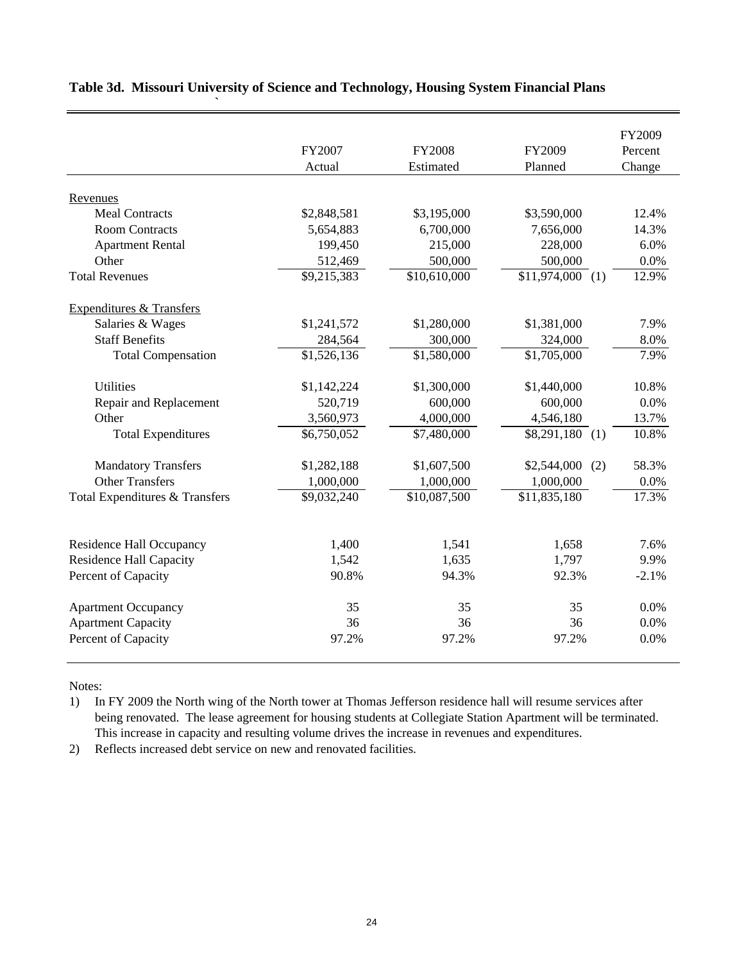|                                     |                         |                          |                    | FY2009  |
|-------------------------------------|-------------------------|--------------------------|--------------------|---------|
|                                     | FY2007                  | <b>FY2008</b>            | FY2009             | Percent |
|                                     | Actual                  | Estimated                | Planned            | Change  |
|                                     |                         |                          |                    |         |
| Revenues                            |                         |                          |                    |         |
| <b>Meal Contracts</b>               | \$2,848,581             | \$3,195,000              | \$3,590,000        | 12.4%   |
| <b>Room Contracts</b>               | 5,654,883               | 6,700,000                | 7,656,000          | 14.3%   |
| <b>Apartment Rental</b>             | 199,450                 | 215,000                  | 228,000            | 6.0%    |
| Other                               | 512,469                 | 500,000                  | 500,000            | 0.0%    |
| <b>Total Revenues</b>               | \$9,215,383             | $\overline{$10,610,000}$ | $$11,974,000$ (1)  | 12.9%   |
| <b>Expenditures &amp; Transfers</b> |                         |                          |                    |         |
| Salaries & Wages                    | \$1,241,572             | \$1,280,000              | \$1,381,000        | 7.9%    |
| <b>Staff Benefits</b>               | 284,564                 | 300,000                  | 324,000            | 8.0%    |
| <b>Total Compensation</b>           | $\overline{$1,526,136}$ | $\overline{$1,580,000}$  | \$1,705,000        | 7.9%    |
| <b>Utilities</b>                    | \$1,142,224             | \$1,300,000              | \$1,440,000        | 10.8%   |
| Repair and Replacement              | 520,719                 | 600,000                  | 600,000            | 0.0%    |
| Other                               | 3,560,973               | 4,000,000                | 4,546,180          | 13.7%   |
| <b>Total Expenditures</b>           | \$6,750,052             | \$7,480,000              | $$8,291,180$ (1)   | 10.8%   |
| <b>Mandatory Transfers</b>          | \$1,282,188             | \$1,607,500              | \$2,544,000<br>(2) | 58.3%   |
| <b>Other Transfers</b>              | 1,000,000               | 1,000,000                | 1,000,000          | 0.0%    |
| Total Expenditures & Transfers      | \$9,032,240             | \$10,087,500             | \$11,835,180       | 17.3%   |
|                                     |                         |                          |                    |         |
| <b>Residence Hall Occupancy</b>     | 1,400                   | 1,541                    | 1,658              | 7.6%    |
| <b>Residence Hall Capacity</b>      | 1,542                   | 1,635                    | 1,797              | 9.9%    |
| Percent of Capacity                 | 90.8%                   | 94.3%                    | 92.3%              | $-2.1%$ |
| <b>Apartment Occupancy</b>          | 35                      | 35                       | 35                 | 0.0%    |
| <b>Apartment Capacity</b>           | 36                      | 36                       | 36                 | 0.0%    |
| Percent of Capacity                 | 97.2%                   | 97.2%                    | 97.2%              | 0.0%    |

## **Table 3d. Missouri University of Science and Technology, Housing System Financial Plans**

**`**

Notes:

1) In FY 2009 the North wing of the North tower at Thomas Jefferson residence hall will resume services after being renovated. The lease agreement for housing students at Collegiate Station Apartment will be terminated. This increase in capacity and resulting volume drives the increase in revenues and expenditures.

2) Reflects increased debt service on new and renovated facilities.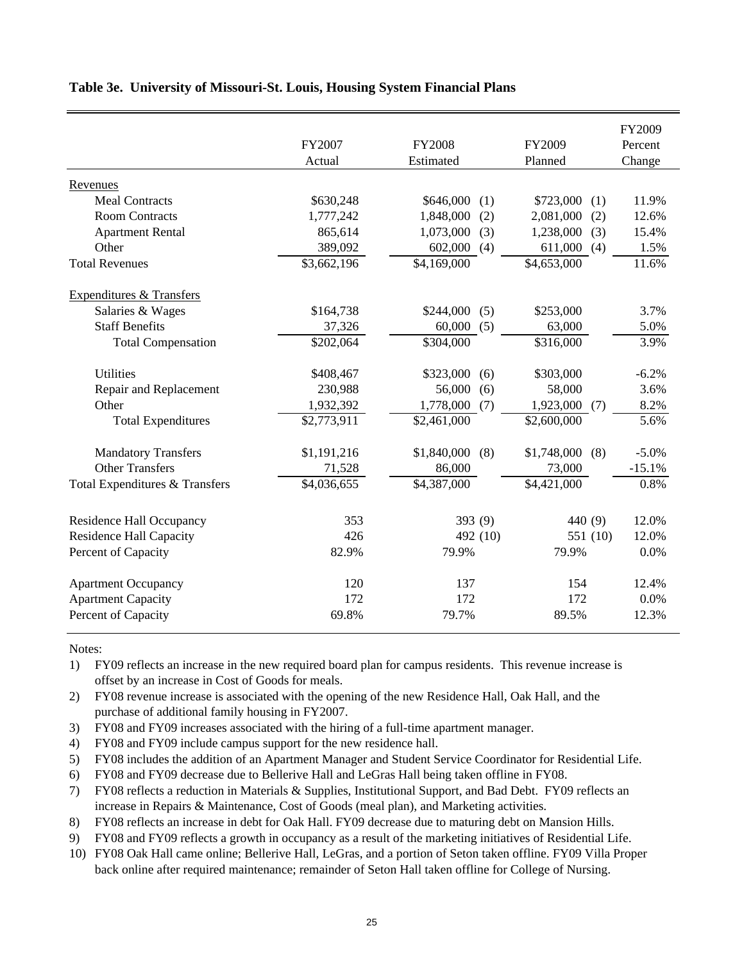|                                     |             |                         |                    | FY2009   |
|-------------------------------------|-------------|-------------------------|--------------------|----------|
|                                     | FY2007      | <b>FY2008</b>           | FY2009             | Percent  |
|                                     | Actual      | Estimated               | Planned            | Change   |
| Revenues                            |             |                         |                    |          |
| <b>Meal Contracts</b>               | \$630,248   | \$646,000<br>(1)        | \$723,000<br>(1)   | 11.9%    |
| <b>Room Contracts</b>               | 1,777,242   | 1,848,000<br>(2)        | 2,081,000<br>(2)   | 12.6%    |
| <b>Apartment Rental</b>             | 865,614     | (3)<br>1,073,000        | (3)<br>1,238,000   | 15.4%    |
| Other                               | 389,092     | 602,000<br>(4)          | 611,000<br>(4)     | 1.5%     |
| <b>Total Revenues</b>               | \$3,662,196 | \$4,169,000             | \$4,653,000        | 11.6%    |
| <b>Expenditures &amp; Transfers</b> |             |                         |                    |          |
| Salaries & Wages                    | \$164,738   | \$244,000<br>(5)        | \$253,000          | 3.7%     |
| <b>Staff Benefits</b>               | 37,326      | 60,000<br>(5)           | 63,000             | 5.0%     |
| <b>Total Compensation</b>           | \$202,064   | \$304,000               | \$316,000          | 3.9%     |
| <b>Utilities</b>                    | \$408,467   | \$323,000<br>(6)        | \$303,000          | $-6.2%$  |
| Repair and Replacement              | 230,988     | 56,000<br>(6)           | 58,000             | 3.6%     |
| Other                               | 1,932,392   | 1,778,000<br>(7)        | 1,923,000<br>(7)   | 8.2%     |
| <b>Total Expenditures</b>           | \$2,773,911 | $\overline{$}2,461,000$ | \$2,600,000        | 5.6%     |
| <b>Mandatory Transfers</b>          | \$1,191,216 | \$1,840,000<br>(8)      | \$1,748,000<br>(8) | $-5.0%$  |
| <b>Other Transfers</b>              | 71,528      | 86,000                  | 73,000             | $-15.1%$ |
| Total Expenditures & Transfers      | \$4,036,655 | \$4,387,000             | \$4,421,000        | 0.8%     |
| <b>Residence Hall Occupancy</b>     | 353         | 393 (9)                 | 440 (9)            | 12.0%    |
| <b>Residence Hall Capacity</b>      | 426         | 492 (10)                | 551 (10)           | 12.0%    |
| Percent of Capacity                 | 82.9%       | 79.9%                   | 79.9%              | 0.0%     |
| <b>Apartment Occupancy</b>          | 120         | 137                     | 154                | 12.4%    |
| <b>Apartment Capacity</b>           | 172         | 172                     | 172                | 0.0%     |
| Percent of Capacity                 | 69.8%       | 79.7%                   | 89.5%              | 12.3%    |

## **Table 3e. University of Missouri-St. Louis, Housing System Financial Plans**

Notes:

- 1) FY09 reflects an increase in the new required board plan for campus residents. This revenue increase is offset by an increase in Cost of Goods for meals.
- 2) FY08 revenue increase is associated with the opening of the new Residence Hall, Oak Hall, and the purchase of additional family housing in FY2007.
- 3) FY08 and FY09 increases associated with the hiring of a full-time apartment manager.
- 4) FY08 and FY09 include campus support for the new residence hall.
- 5) FY08 includes the addition of an Apartment Manager and Student Service Coordinator for Residential Life.
- 6) FY08 and FY09 decrease due to Bellerive Hall and LeGras Hall being taken offline in FY08.
- 7) FY08 reflects a reduction in Materials & Supplies, Institutional Support, and Bad Debt. FY09 reflects an increase in Repairs & Maintenance, Cost of Goods (meal plan), and Marketing activities.
- 8) FY08 reflects an increase in debt for Oak Hall. FY09 decrease due to maturing debt on Mansion Hills.
- 9) FY08 and FY09 reflects a growth in occupancy as a result of the marketing initiatives of Residential Life.
- 10) FY08 Oak Hall came online; Bellerive Hall, LeGras, and a portion of Seton taken offline. FY09 Villa Proper back online after required maintenance; remainder of Seton Hall taken offline for College of Nursing.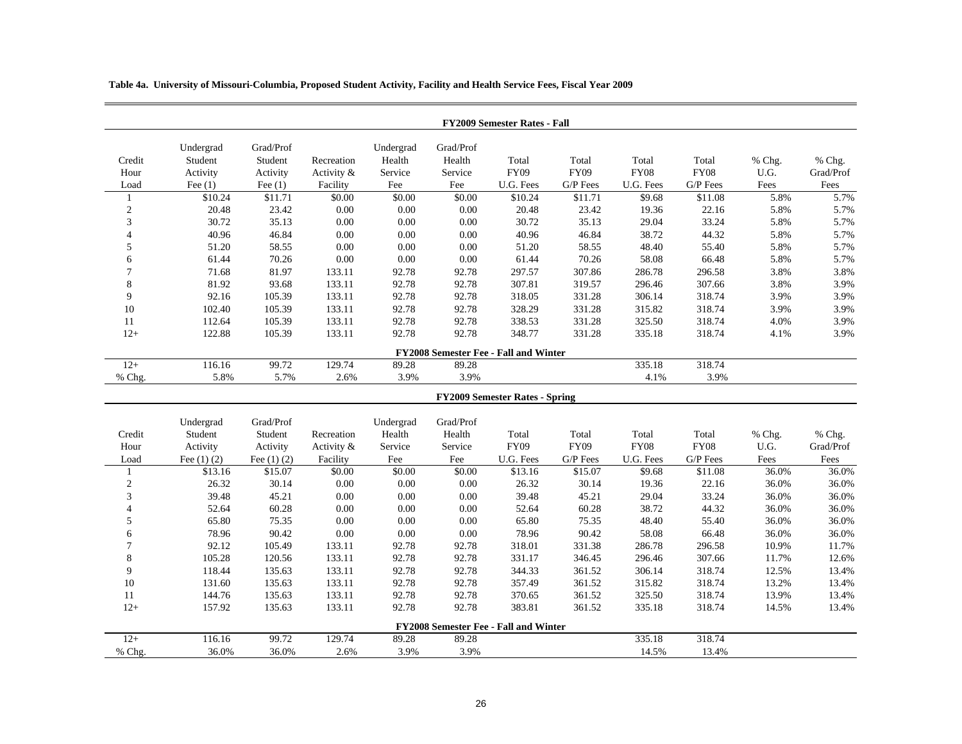**Table 4a. University of Missouri-Columbia, Proposed Student Activity, Facility and Health Service Fees, Fiscal Year 2009**

|                                       |                      |                      |            |                     |                     | <b>FY2009 Semester Rates - Fall</b>   |             |             |             |        |           |  |
|---------------------------------------|----------------------|----------------------|------------|---------------------|---------------------|---------------------------------------|-------------|-------------|-------------|--------|-----------|--|
| Credit                                | Undergrad<br>Student | Grad/Prof<br>Student | Recreation | Undergrad<br>Health | Grad/Prof<br>Health | Total                                 | Total       | Total       | Total       | % Chg. | % Chg.    |  |
| Hour                                  | Activity             | Activity             | Activity & | Service             | Service             | <b>FY09</b>                           | <b>FY09</b> | <b>FY08</b> | <b>FY08</b> | U.G.   | Grad/Prof |  |
| Load                                  | Fee $(1)$            | Fee $(1)$            | Facility   | Fee                 | Fee                 | U.G. Fees                             | G/P Fees    | U.G. Fees   | G/P Fees    | Fees   | Fees      |  |
| $\mathbf{1}$                          | \$10.24              | \$11.71              | \$0.00     | \$0.00              | \$0.00              | \$10.24                               | \$11.71     | \$9.68      | \$11.08     | 5.8%   | 5.7%      |  |
| $\sqrt{2}$                            | 20.48                | 23.42                | 0.00       | $0.00\,$            | $0.00\,$            | 20.48                                 | 23.42       | 19.36       | 22.16       | 5.8%   | 5.7%      |  |
| 3                                     | 30.72                | 35.13                | 0.00       | $0.00\,$            | 0.00                | 30.72                                 | 35.13       | 29.04       | 33.24       | 5.8%   | 5.7%      |  |
| 4                                     | 40.96                | 46.84                | 0.00       | $0.00\,$            | 0.00                | 40.96                                 | 46.84       | 38.72       | 44.32       | 5.8%   | 5.7%      |  |
| 5                                     | 51.20                | 58.55                | 0.00       | $0.00\,$            | $0.00\,$            | 51.20                                 | 58.55       | 48.40       | 55.40       | 5.8%   | 5.7%      |  |
| 6                                     | 61.44                | 70.26                | 0.00       | 0.00                | 0.00                | 61.44                                 | 70.26       | 58.08       | 66.48       | 5.8%   | 5.7%      |  |
| $\tau$                                | 71.68                | 81.97                | 133.11     | 92.78               | 92.78               | 297.57                                | 307.86      | 286.78      | 296.58      | 3.8%   | 3.8%      |  |
| 8                                     | 81.92                | 93.68                | 133.11     | 92.78               | 92.78               | 307.81                                | 319.57      | 296.46      | 307.66      | 3.8%   | 3.9%      |  |
| 9                                     | 92.16                | 105.39               | 133.11     | 92.78               | 92.78               | 318.05                                | 331.28      | 306.14      | 318.74      | 3.9%   | 3.9%      |  |
| 10                                    | 102.40               | 105.39               | 133.11     | 92.78               | 92.78               | 328.29                                | 331.28      | 315.82      | 318.74      | 3.9%   | 3.9%      |  |
| 11                                    | 112.64               | 105.39               | 133.11     | 92.78               | 92.78               | 338.53                                | 331.28      | 325.50      | 318.74      | 4.0%   | 3.9%      |  |
| $12+$                                 | 122.88               | 105.39               | 133.11     | 92.78               | 92.78               | 348.77                                | 331.28      | 335.18      | 318.74      | 4.1%   | 3.9%      |  |
| FY2008 Semester Fee - Fall and Winter |                      |                      |            |                     |                     |                                       |             |             |             |        |           |  |
| $12+$                                 | 116.16               | 99.72                | 129.74     | 89.28               | 89.28               |                                       |             | 335.18      | 318.74      |        |           |  |
| % Chg.                                | 5.8%                 | 5.7%                 | 2.6%       | 3.9%                | 3.9%                |                                       |             | 4.1%        | 3.9%        |        |           |  |
| <b>FY2009 Semester Rates - Spring</b> |                      |                      |            |                     |                     |                                       |             |             |             |        |           |  |
|                                       |                      |                      |            |                     |                     |                                       |             |             |             |        |           |  |
|                                       | Undergrad            | Grad/Prof            |            | Undergrad           | Grad/Prof           |                                       |             |             |             |        |           |  |
| Credit                                | Student              | Student              | Recreation | Health              | Health              | Total                                 | Total       | Total       | Total       | % Chg. | % Chg.    |  |
| Hour                                  | Activity             | Activity             | Activity & | Service             | Service             | <b>FY09</b>                           | <b>FY09</b> | <b>FY08</b> | <b>FY08</b> | U.G.   | Grad/Prof |  |
| Load                                  | Fee $(1)$ $(2)$      | Fee $(1)$ $(2)$      | Facility   | Fee                 | Fee                 | U.G. Fees                             | G/P Fees    | U.G. Fees   | G/P Fees    | Fees   | Fees      |  |
| $\mathbf{1}$                          | \$13.16              | \$15.07              | \$0.00     | \$0.00              | $\overline{$}0.00$  | \$13.16                               | \$15.07     | \$9.68      | \$11.08     | 36.0%  | 36.0%     |  |
| $\sqrt{2}$                            | 26.32                | 30.14                | 0.00       | $0.00\,$            | 0.00                | 26.32                                 | 30.14       | 19.36       | 22.16       | 36.0%  | 36.0%     |  |
| 3                                     | 39.48                | 45.21                | 0.00       | $0.00\,$            | $0.00\,$            | 39.48                                 | 45.21       | 29.04       | 33.24       | 36.0%  | 36.0%     |  |
| 4                                     | 52.64                | 60.28                | 0.00       | 0.00                | 0.00                | 52.64                                 | 60.28       | 38.72       | 44.32       | 36.0%  | 36.0%     |  |
| 5                                     | 65.80                | 75.35                | 0.00       | $0.00\,$            | $0.00\,$            | 65.80                                 | 75.35       | 48.40       | 55.40       | 36.0%  | 36.0%     |  |
| 6                                     | 78.96                | 90.42                | $0.00\,$   | $0.00\,$            | 0.00                | 78.96                                 | 90.42       | 58.08       | 66.48       | 36.0%  | 36.0%     |  |
| 7                                     | 92.12                | 105.49               | 133.11     | 92.78               | 92.78               | 318.01                                | 331.38      | 286.78      | 296.58      | 10.9%  | 11.7%     |  |
| 8                                     | 105.28               | 120.56               | 133.11     | 92.78               | 92.78               | 331.17                                | 346.45      | 296.46      | 307.66      | 11.7%  | 12.6%     |  |
| 9                                     | 118.44               | 135.63               | 133.11     | 92.78               | 92.78               | 344.33                                | 361.52      | 306.14      | 318.74      | 12.5%  | 13.4%     |  |
| 10                                    | 131.60               | 135.63               | 133.11     | 92.78               | 92.78               | 357.49                                | 361.52      | 315.82      | 318.74      | 13.2%  | 13.4%     |  |
| 11                                    | 144.76               | 135.63               | 133.11     | 92.78               | 92.78               | 370.65                                | 361.52      | 325.50      | 318.74      | 13.9%  | 13.4%     |  |
| $12+$                                 | 157.92               | 135.63               | 133.11     | 92.78               | 92.78               | 383.81                                | 361.52      | 335.18      | 318.74      | 14.5%  | 13.4%     |  |
| $12+$                                 | 116.16               | 99.72                | 129.74     | 89.28               | 89.28               | FY2008 Semester Fee - Fall and Winter |             | 335.18      | 318.74      |        |           |  |
| % Chg.                                | 36.0%                | 36.0%                | 2.6%       | 3.9%                | 3.9%                |                                       |             | 14.5%       | 13.4%       |        |           |  |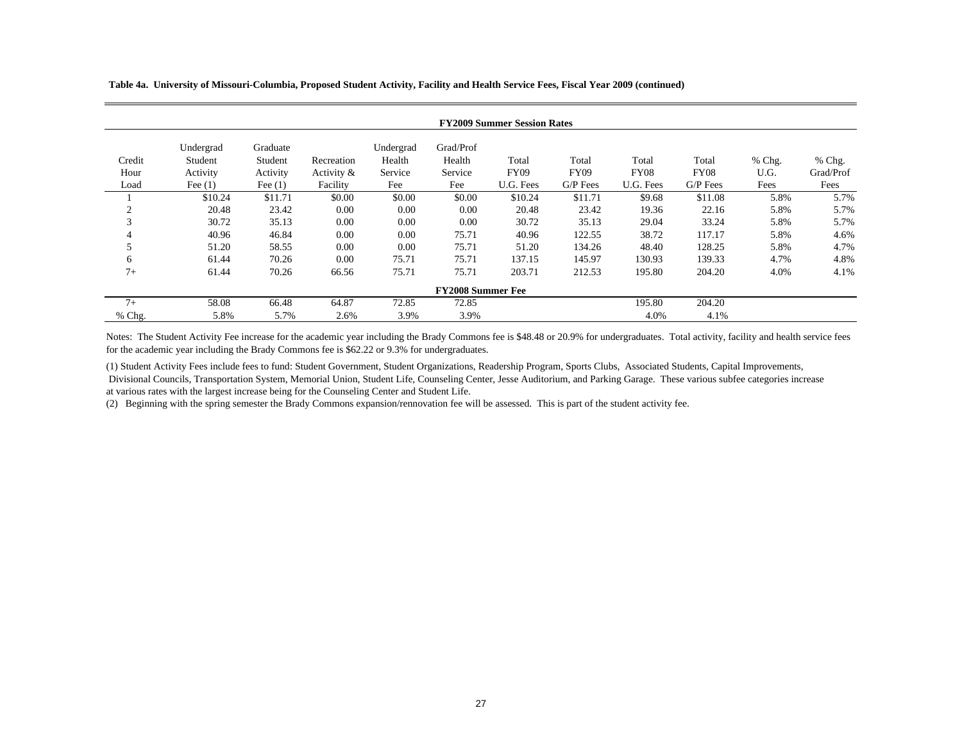**Table 4a. University of Missouri-Columbia, Proposed Student Activity, Facility and Health Service Fees, Fiscal Year 2009 (continued)**

|        | <b>FY2009 Summer Session Rates</b> |           |               |           |           |             |             |             |             |          |           |  |  |
|--------|------------------------------------|-----------|---------------|-----------|-----------|-------------|-------------|-------------|-------------|----------|-----------|--|--|
|        | Undergrad                          | Graduate  |               | Undergrad | Grad/Prof |             |             |             |             |          |           |  |  |
| Credit | Student                            | Student   | Recreation    | Health    | Health    | Total       | Total       | Total       | Total       | $%$ Chg. | $%$ Chg.  |  |  |
| Hour   | Activity                           | Activity  | Activity $\&$ | Service   | Service   | <b>FY09</b> | <b>FY09</b> | <b>FY08</b> | <b>FY08</b> | U.G.     | Grad/Prof |  |  |
| Load   | Fee $(1)$                          | Fee $(1)$ | Facility      | Fee       | Fee       | U.G. Fees   | $G/P$ Fees  | U.G. Fees   | $G/P$ Fees  | Fees     | Fees      |  |  |
|        | \$10.24                            | \$11.71   | \$0.00        | \$0.00    | \$0.00    | \$10.24     | \$11.71     | \$9.68      | \$11.08     | 5.8%     | 5.7%      |  |  |
| 2      | 20.48                              | 23.42     | 0.00          | 0.00      | 0.00      | 20.48       | 23.42       | 19.36       | 22.16       | 5.8%     | 5.7%      |  |  |
| 3      | 30.72                              | 35.13     | 0.00          | 0.00      | 0.00      | 30.72       | 35.13       | 29.04       | 33.24       | 5.8%     | 5.7%      |  |  |
| 4      | 40.96                              | 46.84     | 0.00          | 0.00      | 75.71     | 40.96       | 122.55      | 38.72       | 117.17      | 5.8%     | 4.6%      |  |  |
| 5      | 51.20                              | 58.55     | 0.00          | 0.00      | 75.71     | 51.20       | 134.26      | 48.40       | 128.25      | 5.8%     | 4.7%      |  |  |
| 6      | 61.44                              | 70.26     | 0.00          | 75.71     | 75.71     | 137.15      | 145.97      | 130.93      | 139.33      | 4.7%     | 4.8%      |  |  |
| $7+$   | 61.44                              | 70.26     | 66.56         | 75.71     | 75.71     | 203.71      | 212.53      | 195.80      | 204.20      | 4.0%     | 4.1%      |  |  |
|        | <b>FY2008 Summer Fee</b>           |           |               |           |           |             |             |             |             |          |           |  |  |
| $7+$   | 58.08                              | 66.48     | 64.87         | 72.85     | 72.85     |             |             | 195.80      | 204.20      |          |           |  |  |
| % Chg. | 5.8%                               | 5.7%      | 2.6%          | 3.9%      | 3.9%      |             |             | 4.0%        | 4.1%        |          |           |  |  |

Notes: The Student Activity Fee increase for the academic year including the Brady Commons fee is \$48.48 or 20.9% for undergraduates. Total activity, facility and health service fees for the academic year including the Brady Commons fee is \$62.22 or 9.3% for undergraduates.

(1) Student Activity Fees include fees to fund: Student Government, Student Organizations, Readership Program, Sports Clubs, Associated Students, Capital Improvements, Divisional Councils, Transportation System, Memorial Union, Student Life, Counseling Center, Jesse Auditorium, and Parking Garage. These various subfee categories increase at various rates with the largest increase being for the Counseling Center and Student Life.

(2) Beginning with the spring semester the Brady Commons expansion/rennovation fee will be assessed. This is part of the student activity fee.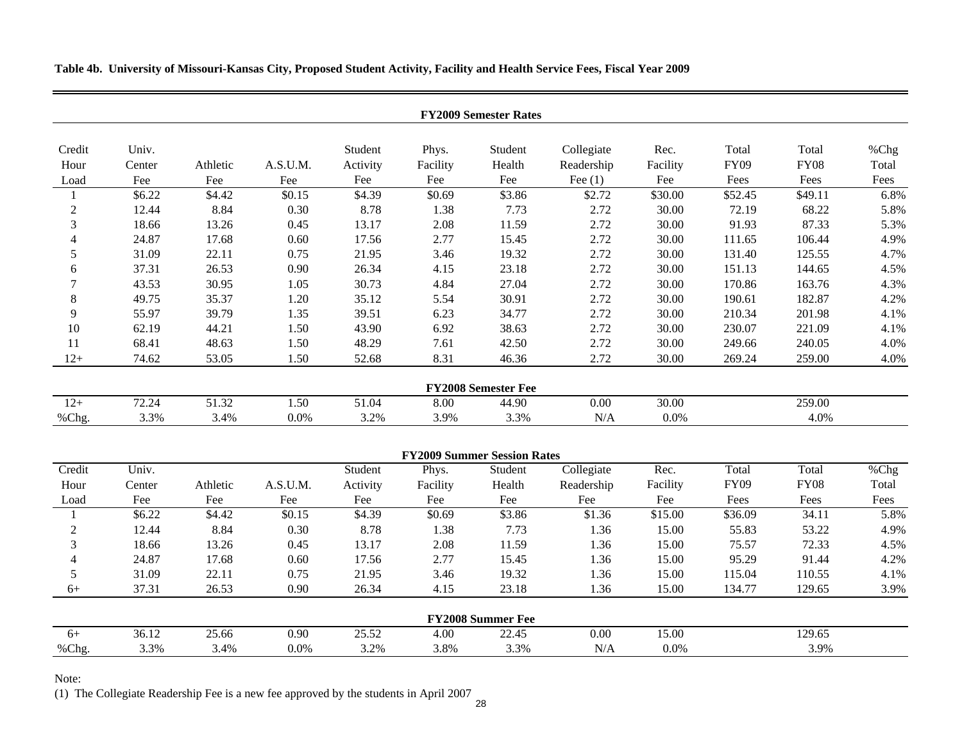**Table 4b. University of Missouri-Kansas City, Proposed Student Activity, Facility and Health Service Fees, Fiscal Year 2009**

| Univ.<br>Student<br>Collegiate<br>Rec.<br>Total<br>Credit<br>Phys.<br>Student<br>Total<br><b>FY09</b><br>Health<br>Readership<br>Facility<br><b>FY08</b><br>Athletic<br>A.S.U.M.<br>Facility<br>Hour<br>Center<br>Activity<br>Fee<br>Fee<br>Fee<br>Fee<br>Fee<br>Fee<br>Fee $(1)$<br>Fee<br>Fees<br>Fees<br>Load<br>\$3.86<br>\$6.22<br>\$4.42<br>\$0.15<br>\$4.39<br>\$0.69<br>\$2.72<br>\$30.00<br>\$52.45<br>\$49.11<br>$\mathbf{1}$<br>$\sqrt{2}$<br>8.84<br>0.30<br>8.78<br>2.72<br>72.19<br>12.44<br>1.38<br>7.73<br>30.00<br>68.22<br>3<br>2.72<br>87.33<br>18.66<br>13.26<br>0.45<br>13.17<br>2.08<br>11.59<br>30.00<br>91.93<br>2.72<br>24.87<br>17.68<br>0.60<br>17.56<br>2.77<br>30.00<br>111.65<br>106.44<br>$\overline{4}$<br>15.45<br>2.72<br>31.09<br>0.75<br>21.95<br>3.46<br>19.32<br>30.00<br>131.40<br>125.55<br>5<br>22.11<br>23.18<br>2.72<br>37.31<br>26.53<br>0.90<br>26.34<br>30.00<br>151.13<br>4.15<br>144.65<br>6<br>30.95<br>1.05<br>30.73<br>4.84<br>27.04<br>2.72<br>30.00<br>170.86<br>163.76<br>$\overline{7}$<br>43.53<br>8<br>35.37<br>1.20<br>35.12<br>30.91<br>2.72<br>30.00<br>190.61<br>182.87<br>49.75<br>5.54<br>9<br>55.97<br>39.79<br>1.35<br>39.51<br>6.23<br>34.77<br>2.72<br>30.00<br>210.34<br>201.98<br>10<br>43.90<br>6.92<br>2.72<br>30.00<br>230.07<br>62.19<br>44.21<br>1.50<br>38.63<br>221.09<br>68.41<br>1.50<br>48.29<br>7.61<br>2.72<br>30.00<br>240.05<br>11<br>48.63<br>42.50<br>249.66<br>46.36<br>2.72<br>$12+$<br>74.62<br>53.05<br>1.50<br>52.68<br>8.31<br>30.00<br>269.24<br>259.00<br><b>FY2008 Semester Fee</b><br>72.24<br>51.32<br>$12+$<br>1.50<br>51.04<br>0.00<br>30.00<br>259.00<br>8.00<br>44.90<br>%Chg.<br>3.3%<br>3.4%<br>0.0%<br>3.2%<br>3.9%<br>3.3%<br>N/A<br>0.0%<br>4.0%<br><b>FY2009 Summer Session Rates</b><br>Collegiate<br>Credit<br>Univ.<br>Phys.<br>Student<br>Rec.<br>Total<br>Total<br>Student<br><b>FY09</b><br><b>FY08</b><br>Hour<br>Athletic<br>A.S.U.M.<br>Activity<br>Health<br>Readership<br>Facility<br>Center<br>Facility<br>Fee<br>Fee<br>Fee<br>Fee<br>Fee<br>Fee<br>Fees<br>Fees<br>Fee<br>Fee<br>Load<br>\$6.22<br>\$4.42<br>\$0.15<br>\$4.39<br>\$0.69<br>\$3.86<br>\$1.36<br>\$15.00<br>\$36.09<br>34.11<br>1<br>$\overline{2}$<br>12.44<br>8.84<br>0.30<br>8.78<br>1.38<br>7.73<br>1.36<br>15.00<br>55.83<br>53.22<br>3<br>18.66<br>13.26<br>13.17<br>2.08<br>11.59<br>1.36<br>15.00<br>75.57<br>72.33<br>0.45<br>24.87<br>0.60<br>17.56<br>2.77<br>1.36<br>15.00<br>95.29<br>91.44<br>$\overline{4}$<br>17.68<br>15.45<br>5<br>31.09<br>22.11<br>0.75<br>21.95<br>19.32<br>1.36<br>15.00<br>115.04<br>3.46<br>110.55<br>37.31<br>26.53<br>0.90<br>26.34<br>4.15<br>23.18<br>1.36<br>15.00<br>134.77<br>129.65<br>$6+$<br><b>FY2008 Summer Fee</b> | <b>FY2009 Semester Rates</b> |  |  |  |  |  |  |  |  |  |               |  |
|---------------------------------------------------------------------------------------------------------------------------------------------------------------------------------------------------------------------------------------------------------------------------------------------------------------------------------------------------------------------------------------------------------------------------------------------------------------------------------------------------------------------------------------------------------------------------------------------------------------------------------------------------------------------------------------------------------------------------------------------------------------------------------------------------------------------------------------------------------------------------------------------------------------------------------------------------------------------------------------------------------------------------------------------------------------------------------------------------------------------------------------------------------------------------------------------------------------------------------------------------------------------------------------------------------------------------------------------------------------------------------------------------------------------------------------------------------------------------------------------------------------------------------------------------------------------------------------------------------------------------------------------------------------------------------------------------------------------------------------------------------------------------------------------------------------------------------------------------------------------------------------------------------------------------------------------------------------------------------------------------------------------------------------------------------------------------------------------------------------------------------------------------------------------------------------------------------------------------------------------------------------------------------------------------------------------------------------------------------------------------------------------------------------------------------------------------------------------------------------------------------------------------------------------------------------------------------------------------------------------------------------------------------------------------------------------------------------------------------------------------------------|------------------------------|--|--|--|--|--|--|--|--|--|---------------|--|
|                                                                                                                                                                                                                                                                                                                                                                                                                                                                                                                                                                                                                                                                                                                                                                                                                                                                                                                                                                                                                                                                                                                                                                                                                                                                                                                                                                                                                                                                                                                                                                                                                                                                                                                                                                                                                                                                                                                                                                                                                                                                                                                                                                                                                                                                                                                                                                                                                                                                                                                                                                                                                                                                                                                                                               |                              |  |  |  |  |  |  |  |  |  | %Chg<br>Total |  |
|                                                                                                                                                                                                                                                                                                                                                                                                                                                                                                                                                                                                                                                                                                                                                                                                                                                                                                                                                                                                                                                                                                                                                                                                                                                                                                                                                                                                                                                                                                                                                                                                                                                                                                                                                                                                                                                                                                                                                                                                                                                                                                                                                                                                                                                                                                                                                                                                                                                                                                                                                                                                                                                                                                                                                               |                              |  |  |  |  |  |  |  |  |  | Fees          |  |
|                                                                                                                                                                                                                                                                                                                                                                                                                                                                                                                                                                                                                                                                                                                                                                                                                                                                                                                                                                                                                                                                                                                                                                                                                                                                                                                                                                                                                                                                                                                                                                                                                                                                                                                                                                                                                                                                                                                                                                                                                                                                                                                                                                                                                                                                                                                                                                                                                                                                                                                                                                                                                                                                                                                                                               |                              |  |  |  |  |  |  |  |  |  | 6.8%          |  |
|                                                                                                                                                                                                                                                                                                                                                                                                                                                                                                                                                                                                                                                                                                                                                                                                                                                                                                                                                                                                                                                                                                                                                                                                                                                                                                                                                                                                                                                                                                                                                                                                                                                                                                                                                                                                                                                                                                                                                                                                                                                                                                                                                                                                                                                                                                                                                                                                                                                                                                                                                                                                                                                                                                                                                               |                              |  |  |  |  |  |  |  |  |  | 5.8%          |  |
|                                                                                                                                                                                                                                                                                                                                                                                                                                                                                                                                                                                                                                                                                                                                                                                                                                                                                                                                                                                                                                                                                                                                                                                                                                                                                                                                                                                                                                                                                                                                                                                                                                                                                                                                                                                                                                                                                                                                                                                                                                                                                                                                                                                                                                                                                                                                                                                                                                                                                                                                                                                                                                                                                                                                                               |                              |  |  |  |  |  |  |  |  |  | 5.3%          |  |
|                                                                                                                                                                                                                                                                                                                                                                                                                                                                                                                                                                                                                                                                                                                                                                                                                                                                                                                                                                                                                                                                                                                                                                                                                                                                                                                                                                                                                                                                                                                                                                                                                                                                                                                                                                                                                                                                                                                                                                                                                                                                                                                                                                                                                                                                                                                                                                                                                                                                                                                                                                                                                                                                                                                                                               |                              |  |  |  |  |  |  |  |  |  | 4.9%          |  |
|                                                                                                                                                                                                                                                                                                                                                                                                                                                                                                                                                                                                                                                                                                                                                                                                                                                                                                                                                                                                                                                                                                                                                                                                                                                                                                                                                                                                                                                                                                                                                                                                                                                                                                                                                                                                                                                                                                                                                                                                                                                                                                                                                                                                                                                                                                                                                                                                                                                                                                                                                                                                                                                                                                                                                               |                              |  |  |  |  |  |  |  |  |  | 4.7%          |  |
|                                                                                                                                                                                                                                                                                                                                                                                                                                                                                                                                                                                                                                                                                                                                                                                                                                                                                                                                                                                                                                                                                                                                                                                                                                                                                                                                                                                                                                                                                                                                                                                                                                                                                                                                                                                                                                                                                                                                                                                                                                                                                                                                                                                                                                                                                                                                                                                                                                                                                                                                                                                                                                                                                                                                                               |                              |  |  |  |  |  |  |  |  |  | 4.5%          |  |
|                                                                                                                                                                                                                                                                                                                                                                                                                                                                                                                                                                                                                                                                                                                                                                                                                                                                                                                                                                                                                                                                                                                                                                                                                                                                                                                                                                                                                                                                                                                                                                                                                                                                                                                                                                                                                                                                                                                                                                                                                                                                                                                                                                                                                                                                                                                                                                                                                                                                                                                                                                                                                                                                                                                                                               |                              |  |  |  |  |  |  |  |  |  | 4.3%          |  |
|                                                                                                                                                                                                                                                                                                                                                                                                                                                                                                                                                                                                                                                                                                                                                                                                                                                                                                                                                                                                                                                                                                                                                                                                                                                                                                                                                                                                                                                                                                                                                                                                                                                                                                                                                                                                                                                                                                                                                                                                                                                                                                                                                                                                                                                                                                                                                                                                                                                                                                                                                                                                                                                                                                                                                               |                              |  |  |  |  |  |  |  |  |  | 4.2%          |  |
|                                                                                                                                                                                                                                                                                                                                                                                                                                                                                                                                                                                                                                                                                                                                                                                                                                                                                                                                                                                                                                                                                                                                                                                                                                                                                                                                                                                                                                                                                                                                                                                                                                                                                                                                                                                                                                                                                                                                                                                                                                                                                                                                                                                                                                                                                                                                                                                                                                                                                                                                                                                                                                                                                                                                                               |                              |  |  |  |  |  |  |  |  |  | 4.1%          |  |
|                                                                                                                                                                                                                                                                                                                                                                                                                                                                                                                                                                                                                                                                                                                                                                                                                                                                                                                                                                                                                                                                                                                                                                                                                                                                                                                                                                                                                                                                                                                                                                                                                                                                                                                                                                                                                                                                                                                                                                                                                                                                                                                                                                                                                                                                                                                                                                                                                                                                                                                                                                                                                                                                                                                                                               |                              |  |  |  |  |  |  |  |  |  | 4.1%          |  |
|                                                                                                                                                                                                                                                                                                                                                                                                                                                                                                                                                                                                                                                                                                                                                                                                                                                                                                                                                                                                                                                                                                                                                                                                                                                                                                                                                                                                                                                                                                                                                                                                                                                                                                                                                                                                                                                                                                                                                                                                                                                                                                                                                                                                                                                                                                                                                                                                                                                                                                                                                                                                                                                                                                                                                               |                              |  |  |  |  |  |  |  |  |  | 4.0%          |  |
|                                                                                                                                                                                                                                                                                                                                                                                                                                                                                                                                                                                                                                                                                                                                                                                                                                                                                                                                                                                                                                                                                                                                                                                                                                                                                                                                                                                                                                                                                                                                                                                                                                                                                                                                                                                                                                                                                                                                                                                                                                                                                                                                                                                                                                                                                                                                                                                                                                                                                                                                                                                                                                                                                                                                                               |                              |  |  |  |  |  |  |  |  |  | 4.0%          |  |
|                                                                                                                                                                                                                                                                                                                                                                                                                                                                                                                                                                                                                                                                                                                                                                                                                                                                                                                                                                                                                                                                                                                                                                                                                                                                                                                                                                                                                                                                                                                                                                                                                                                                                                                                                                                                                                                                                                                                                                                                                                                                                                                                                                                                                                                                                                                                                                                                                                                                                                                                                                                                                                                                                                                                                               |                              |  |  |  |  |  |  |  |  |  |               |  |
|                                                                                                                                                                                                                                                                                                                                                                                                                                                                                                                                                                                                                                                                                                                                                                                                                                                                                                                                                                                                                                                                                                                                                                                                                                                                                                                                                                                                                                                                                                                                                                                                                                                                                                                                                                                                                                                                                                                                                                                                                                                                                                                                                                                                                                                                                                                                                                                                                                                                                                                                                                                                                                                                                                                                                               |                              |  |  |  |  |  |  |  |  |  |               |  |
|                                                                                                                                                                                                                                                                                                                                                                                                                                                                                                                                                                                                                                                                                                                                                                                                                                                                                                                                                                                                                                                                                                                                                                                                                                                                                                                                                                                                                                                                                                                                                                                                                                                                                                                                                                                                                                                                                                                                                                                                                                                                                                                                                                                                                                                                                                                                                                                                                                                                                                                                                                                                                                                                                                                                                               |                              |  |  |  |  |  |  |  |  |  |               |  |
|                                                                                                                                                                                                                                                                                                                                                                                                                                                                                                                                                                                                                                                                                                                                                                                                                                                                                                                                                                                                                                                                                                                                                                                                                                                                                                                                                                                                                                                                                                                                                                                                                                                                                                                                                                                                                                                                                                                                                                                                                                                                                                                                                                                                                                                                                                                                                                                                                                                                                                                                                                                                                                                                                                                                                               |                              |  |  |  |  |  |  |  |  |  |               |  |
|                                                                                                                                                                                                                                                                                                                                                                                                                                                                                                                                                                                                                                                                                                                                                                                                                                                                                                                                                                                                                                                                                                                                                                                                                                                                                                                                                                                                                                                                                                                                                                                                                                                                                                                                                                                                                                                                                                                                                                                                                                                                                                                                                                                                                                                                                                                                                                                                                                                                                                                                                                                                                                                                                                                                                               |                              |  |  |  |  |  |  |  |  |  | %Chg          |  |
|                                                                                                                                                                                                                                                                                                                                                                                                                                                                                                                                                                                                                                                                                                                                                                                                                                                                                                                                                                                                                                                                                                                                                                                                                                                                                                                                                                                                                                                                                                                                                                                                                                                                                                                                                                                                                                                                                                                                                                                                                                                                                                                                                                                                                                                                                                                                                                                                                                                                                                                                                                                                                                                                                                                                                               |                              |  |  |  |  |  |  |  |  |  | Total         |  |
|                                                                                                                                                                                                                                                                                                                                                                                                                                                                                                                                                                                                                                                                                                                                                                                                                                                                                                                                                                                                                                                                                                                                                                                                                                                                                                                                                                                                                                                                                                                                                                                                                                                                                                                                                                                                                                                                                                                                                                                                                                                                                                                                                                                                                                                                                                                                                                                                                                                                                                                                                                                                                                                                                                                                                               |                              |  |  |  |  |  |  |  |  |  | Fees          |  |
|                                                                                                                                                                                                                                                                                                                                                                                                                                                                                                                                                                                                                                                                                                                                                                                                                                                                                                                                                                                                                                                                                                                                                                                                                                                                                                                                                                                                                                                                                                                                                                                                                                                                                                                                                                                                                                                                                                                                                                                                                                                                                                                                                                                                                                                                                                                                                                                                                                                                                                                                                                                                                                                                                                                                                               |                              |  |  |  |  |  |  |  |  |  | 5.8%          |  |
|                                                                                                                                                                                                                                                                                                                                                                                                                                                                                                                                                                                                                                                                                                                                                                                                                                                                                                                                                                                                                                                                                                                                                                                                                                                                                                                                                                                                                                                                                                                                                                                                                                                                                                                                                                                                                                                                                                                                                                                                                                                                                                                                                                                                                                                                                                                                                                                                                                                                                                                                                                                                                                                                                                                                                               |                              |  |  |  |  |  |  |  |  |  | 4.9%          |  |
|                                                                                                                                                                                                                                                                                                                                                                                                                                                                                                                                                                                                                                                                                                                                                                                                                                                                                                                                                                                                                                                                                                                                                                                                                                                                                                                                                                                                                                                                                                                                                                                                                                                                                                                                                                                                                                                                                                                                                                                                                                                                                                                                                                                                                                                                                                                                                                                                                                                                                                                                                                                                                                                                                                                                                               |                              |  |  |  |  |  |  |  |  |  | 4.5%          |  |
|                                                                                                                                                                                                                                                                                                                                                                                                                                                                                                                                                                                                                                                                                                                                                                                                                                                                                                                                                                                                                                                                                                                                                                                                                                                                                                                                                                                                                                                                                                                                                                                                                                                                                                                                                                                                                                                                                                                                                                                                                                                                                                                                                                                                                                                                                                                                                                                                                                                                                                                                                                                                                                                                                                                                                               |                              |  |  |  |  |  |  |  |  |  | 4.2%          |  |
|                                                                                                                                                                                                                                                                                                                                                                                                                                                                                                                                                                                                                                                                                                                                                                                                                                                                                                                                                                                                                                                                                                                                                                                                                                                                                                                                                                                                                                                                                                                                                                                                                                                                                                                                                                                                                                                                                                                                                                                                                                                                                                                                                                                                                                                                                                                                                                                                                                                                                                                                                                                                                                                                                                                                                               |                              |  |  |  |  |  |  |  |  |  | 4.1%          |  |
|                                                                                                                                                                                                                                                                                                                                                                                                                                                                                                                                                                                                                                                                                                                                                                                                                                                                                                                                                                                                                                                                                                                                                                                                                                                                                                                                                                                                                                                                                                                                                                                                                                                                                                                                                                                                                                                                                                                                                                                                                                                                                                                                                                                                                                                                                                                                                                                                                                                                                                                                                                                                                                                                                                                                                               |                              |  |  |  |  |  |  |  |  |  | 3.9%          |  |
|                                                                                                                                                                                                                                                                                                                                                                                                                                                                                                                                                                                                                                                                                                                                                                                                                                                                                                                                                                                                                                                                                                                                                                                                                                                                                                                                                                                                                                                                                                                                                                                                                                                                                                                                                                                                                                                                                                                                                                                                                                                                                                                                                                                                                                                                                                                                                                                                                                                                                                                                                                                                                                                                                                                                                               |                              |  |  |  |  |  |  |  |  |  |               |  |
| 25.52<br>36.12<br>25.66<br>0.90<br>4.00<br>22.45<br>0.00<br>15.00<br>129.65<br>$6+$                                                                                                                                                                                                                                                                                                                                                                                                                                                                                                                                                                                                                                                                                                                                                                                                                                                                                                                                                                                                                                                                                                                                                                                                                                                                                                                                                                                                                                                                                                                                                                                                                                                                                                                                                                                                                                                                                                                                                                                                                                                                                                                                                                                                                                                                                                                                                                                                                                                                                                                                                                                                                                                                           |                              |  |  |  |  |  |  |  |  |  |               |  |
| %Chg.<br>3.3%<br>3.4%<br>0.0%<br>3.2%<br>3.8%<br>3.3%<br>N/A<br>0.0%<br>3.9%                                                                                                                                                                                                                                                                                                                                                                                                                                                                                                                                                                                                                                                                                                                                                                                                                                                                                                                                                                                                                                                                                                                                                                                                                                                                                                                                                                                                                                                                                                                                                                                                                                                                                                                                                                                                                                                                                                                                                                                                                                                                                                                                                                                                                                                                                                                                                                                                                                                                                                                                                                                                                                                                                  |                              |  |  |  |  |  |  |  |  |  |               |  |

Note:

(1) The Collegiate Readership Fee is a new fee approved by the students in April 2007 28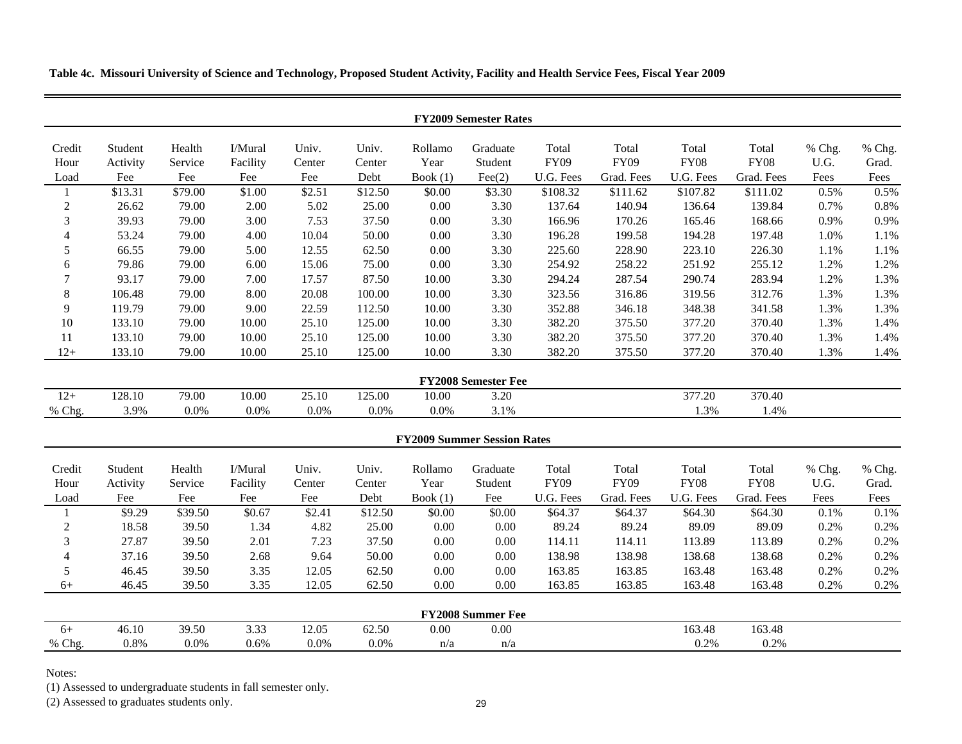**Table 4c. Missouri University of Science and Technology, Proposed Student Activity, Facility and Health Service Fees, Fiscal Year 2009**

| <b>FY2009 Semester Rates</b> |          |         |          |        |         |            |                                    |             |             |             |             |        |        |
|------------------------------|----------|---------|----------|--------|---------|------------|------------------------------------|-------------|-------------|-------------|-------------|--------|--------|
| Credit                       | Student  | Health  | I/Mural  | Univ.  | Univ.   | Rollamo    | Graduate                           | Total       | Total       | Total       | Total       | % Chg. | % Chg. |
| Hour                         | Activity | Service | Facility | Center | Center  | Year       | Student                            | <b>FY09</b> | <b>FY09</b> | <b>FY08</b> | <b>FY08</b> | U.G.   | Grad.  |
| Load                         | Fee      | Fee     | Fee      | Fee    | Debt    | Book $(1)$ | $\text{Fee}(2)$                    | U.G. Fees   | Grad. Fees  | U.G. Fees   | Grad. Fees  | Fees   | Fees   |
| 1                            | \$13.31  | \$79.00 | \$1.00   | \$2.51 | \$12.50 | \$0.00     | \$3.30                             | \$108.32    | \$111.62    | \$107.82    | \$111.02    | 0.5%   | 0.5%   |
| $\sqrt{2}$                   | 26.62    | 79.00   | 2.00     | 5.02   | 25.00   | $0.00\,$   | 3.30                               | 137.64      | 140.94      | 136.64      | 139.84      | 0.7%   | 0.8%   |
| 3                            | 39.93    | 79.00   | 3.00     | 7.53   | 37.50   | 0.00       | 3.30                               | 166.96      | 170.26      | 165.46      | 168.66      | 0.9%   | 0.9%   |
| $\overline{4}$               | 53.24    | 79.00   | 4.00     | 10.04  | 50.00   | $0.00\,$   | 3.30                               | 196.28      | 199.58      | 194.28      | 197.48      | 1.0%   | 1.1%   |
| 5                            | 66.55    | 79.00   | 5.00     | 12.55  | 62.50   | $0.00\,$   | 3.30                               | 225.60      | 228.90      | 223.10      | 226.30      | 1.1%   | 1.1%   |
| 6                            | 79.86    | 79.00   | 6.00     | 15.06  | 75.00   | $0.00\,$   | 3.30                               | 254.92      | 258.22      | 251.92      | 255.12      | 1.2%   | 1.2%   |
| 7                            | 93.17    | 79.00   | 7.00     | 17.57  | 87.50   | 10.00      | 3.30                               | 294.24      | 287.54      | 290.74      | 283.94      | 1.2%   | 1.3%   |
| 8                            | 106.48   | 79.00   | 8.00     | 20.08  | 100.00  | 10.00      | 3.30                               | 323.56      | 316.86      | 319.56      | 312.76      | 1.3%   | 1.3%   |
| 9                            | 119.79   | 79.00   | 9.00     | 22.59  | 112.50  | 10.00      | 3.30                               | 352.88      | 346.18      | 348.38      | 341.58      | 1.3%   | 1.3%   |
| 10                           | 133.10   | 79.00   | 10.00    | 25.10  | 125.00  | 10.00      | 3.30                               | 382.20      | 375.50      | 377.20      | 370.40      | 1.3%   | 1.4%   |
| 11                           | 133.10   | 79.00   | 10.00    | 25.10  | 125.00  | 10.00      | 3.30                               | 382.20      | 375.50      | 377.20      | 370.40      | 1.3%   | 1.4%   |
| $12+$                        | 133.10   | 79.00   | 10.00    | 25.10  | 125.00  | 10.00      | 3.30                               | 382.20      | 375.50      | 377.20      | 370.40      | 1.3%   | 1.4%   |
|                              |          |         |          |        |         |            | <b>FY2008 Semester Fee</b>         |             |             |             |             |        |        |
| $12+$                        | 128.10   | 79.00   | 10.00    | 25.10  | 125.00  | 10.00      | 3.20                               |             |             | 377.20      | 370.40      |        |        |
| % Chg.                       | 3.9%     | $0.0\%$ | 0.0%     | 0.0%   | 0.0%    | $0.0\%$    | 3.1%                               |             |             | 1.3%        | 1.4%        |        |        |
|                              |          |         |          |        |         |            |                                    |             |             |             |             |        |        |
|                              |          |         |          |        |         |            | <b>FY2009 Summer Session Rates</b> |             |             |             |             |        |        |
| Credit                       | Student  | Health  | I/Mural  | Univ.  | Univ.   | Rollamo    | Graduate                           | Total       | Total       | Total       | Total       | % Chg. | % Chg. |
| Hour                         | Activity | Service | Facility | Center | Center  | Year       | Student                            | <b>FY09</b> | <b>FY09</b> | <b>FY08</b> | <b>FY08</b> | U.G.   | Grad.  |
| Load                         | Fee      | Fee     | Fee      | Fee    | Debt    | Book $(1)$ | Fee                                | U.G. Fees   | Grad. Fees  | U.G. Fees   | Grad. Fees  | Fees   | Fees   |
| 1                            | \$9.29   | \$39.50 | \$0.67   | \$2.41 | \$12.50 | \$0.00     | \$0.00                             | \$64.37     | \$64.37     | \$64.30     | \$64.30     | 0.1%   | 0.1%   |
| $\sqrt{2}$                   | 18.58    | 39.50   | 1.34     | 4.82   | 25.00   | $0.00\,$   | 0.00                               | 89.24       | 89.24       | 89.09       | 89.09       | 0.2%   | 0.2%   |
| 3                            | 27.87    | 39.50   | 2.01     | 7.23   | 37.50   | 0.00       | 0.00                               | 114.11      | 114.11      | 113.89      | 113.89      | 0.2%   | 0.2%   |
| $\overline{\mathbf{4}}$      | 37.16    | 39.50   | 2.68     | 9.64   | 50.00   | $0.00\,$   | 0.00                               | 138.98      | 138.98      | 138.68      | 138.68      | 0.2%   | 0.2%   |
| 5                            | 46.45    | 39.50   | 3.35     | 12.05  | 62.50   | 0.00       | 0.00                               | 163.85      | 163.85      | 163.48      | 163.48      | 0.2%   | 0.2%   |
| $6+$                         | 46.45    | 39.50   | 3.35     | 12.05  | 62.50   | 0.00       | 0.00                               | 163.85      | 163.85      | 163.48      | 163.48      | 0.2%   | 0.2%   |
|                              |          |         |          |        |         |            | <b>FY2008 Summer Fee</b>           |             |             |             |             |        |        |
| $6+$                         | 46.10    | 39.50   | 3.33     | 12.05  | 62.50   | $0.00\,$   | 0.00                               |             |             | 163.48      | 163.48      |        |        |
| % Chg.                       | 0.8%     | 0.0%    | 0.6%     | 0.0%   | 0.0%    | n/a        | n/a                                |             |             | 0.2%        | 0.2%        |        |        |
|                              |          |         |          |        |         |            |                                    |             |             |             |             |        |        |

Notes:

(1) Assessed to undergraduate students in fall semester only.

(2) Assessed to graduates students only.